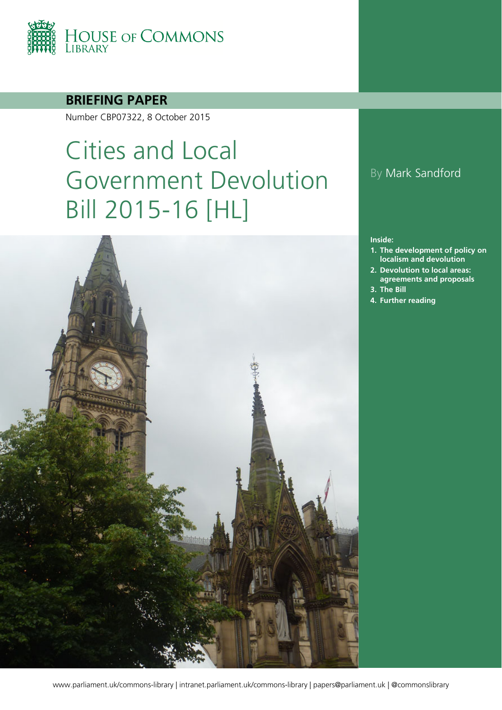

### **BRIEFING PAPER**

Number CBP07322, 8 October 2015

# Cities and Local Government Devolution Bill 2015-16 [HL]



### By Mark Sandford

#### **Inside:**

- **1. [The development of policy on](#page-3-0)  [localism and devolution](#page-3-0)**
- **2. [Devolution to local areas:](#page-9-0)  [agreements and proposals](#page-9-0)**
- **3. [The Bill](#page-18-0)**
- **4. [Further reading](#page-37-0)**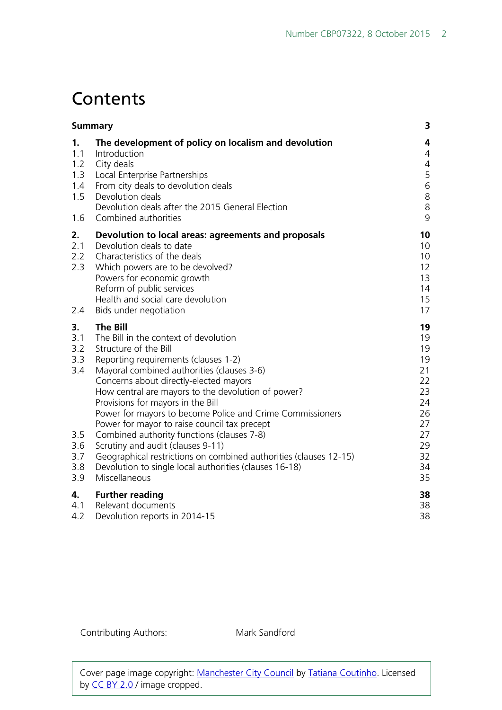## **Contents**

| <b>Summary</b>                                                    |                                                                                                                                                                                                                                                                                                                                                                                                                                                                                                                                                                                                                                                              |                                                                                        |  |
|-------------------------------------------------------------------|--------------------------------------------------------------------------------------------------------------------------------------------------------------------------------------------------------------------------------------------------------------------------------------------------------------------------------------------------------------------------------------------------------------------------------------------------------------------------------------------------------------------------------------------------------------------------------------------------------------------------------------------------------------|----------------------------------------------------------------------------------------|--|
| 1.<br>1.1<br>1.2<br>1.3<br>1.4<br>1.5<br>1.6                      | The development of policy on localism and devolution<br>Introduction<br>City deals<br>Local Enterprise Partnerships<br>From city deals to devolution deals<br>Devolution deals<br>Devolution deals after the 2015 General Election<br>Combined authorities                                                                                                                                                                                                                                                                                                                                                                                                   | 4<br>4<br>$\overline{4}$<br>5<br>$\,$ 6 $\,$<br>$\,8$<br>8<br>9                        |  |
| 2.<br>2.1<br>2.2<br>2.3<br>2.4                                    | Devolution to local areas: agreements and proposals<br>Devolution deals to date<br>Characteristics of the deals<br>Which powers are to be devolved?<br>Powers for economic growth<br>Reform of public services<br>Health and social care devolution<br>Bids under negotiation                                                                                                                                                                                                                                                                                                                                                                                | 10<br>10<br>10<br>12<br>13<br>14<br>15<br>17                                           |  |
| 3.<br>3.1<br>3.2<br>3.3<br>3.4<br>3.5<br>3.6<br>3.7<br>3.8<br>3.9 | <b>The Bill</b><br>The Bill in the context of devolution<br>Structure of the Bill<br>Reporting requirements (clauses 1-2)<br>Mayoral combined authorities (clauses 3-6)<br>Concerns about directly-elected mayors<br>How central are mayors to the devolution of power?<br>Provisions for mayors in the Bill<br>Power for mayors to become Police and Crime Commissioners<br>Power for mayor to raise council tax precept<br>Combined authority functions (clauses 7-8)<br>Scrutiny and audit (clauses 9-11)<br>Geographical restrictions on combined authorities (clauses 12-15)<br>Devolution to single local authorities (clauses 16-18)<br>Miscellaneous | 19<br>19<br>19<br>19<br>21<br>22<br>23<br>24<br>26<br>27<br>27<br>29<br>32<br>34<br>35 |  |
| 4.<br>4.1<br>4.2                                                  | <b>Further reading</b><br>Relevant documents<br>Devolution reports in 2014-15                                                                                                                                                                                                                                                                                                                                                                                                                                                                                                                                                                                | 38<br>38<br>38                                                                         |  |

Contributing Authors: Mark Sandford

Cover page image copyright: [Manchester City Council](https://www.flickr.com/photos/tscoutinho/6003979092/in/photolist-a9xXNU-9s82jr-8rdcMp-8rgRom-4mxwxu-4A2uwB-8rGQ3h-7nBwXW-6AvSgS-qfpr7H-8qPbkL-8qL4LB-8qPbnC-8rgnbE-56BpQ-5yAgQV-8rdKzk-piw4KU-piw4Dm-fwJJtX-fxmgdT-hNMWxQ-jNfM7-k9Cw8s-8rDNsk-6UnYRL-cJrNeA-474JvL-pY6iop-8qPbhs-fwJ6eV-nYWEJM-nGsiy5-nGs3jP-nYDuz8-5Wr3L3-8qL4AM-8qPbaj-iEszK-7mHFSJ-8qL4DT-8qL4FT-9tN7r6-dnpwnU-dnpvMS-qU1JXk-zFfuN-46ZDzF-d1auW-tnBjP) by [Tatiana Coutinho.](https://www.flickr.com/photos/tscoutinho/) Licensed by [CC BY 2.0 /](https://creativecommons.org/licenses/by-nc-sa/2.0/) image cropped.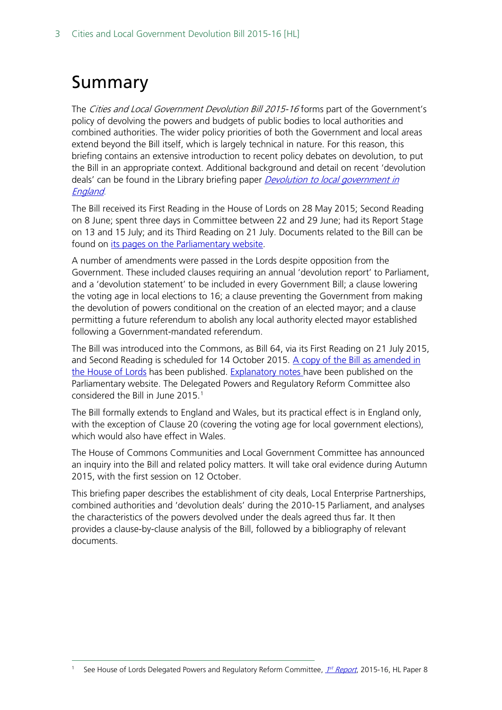# <span id="page-2-0"></span>Summary

The Cities and Local Government Devolution Bill 2015-16 forms part of the Government's policy of devolving the powers and budgets of public bodies to local authorities and combined authorities. The wider policy priorities of both the Government and local areas extend beyond the Bill itself, which is largely technical in nature. For this reason, this briefing contains an extensive introduction to recent policy debates on devolution, to put the Bill in an appropriate context. Additional background and detail on recent 'devolution deals' can be found in the Library briefing paper *Devolution to local government in* [England](http://researchbriefings.parliament.uk/ResearchBriefing/Summary/SN07029).

The Bill received its First Reading in the House of Lords on 28 May 2015; Second Reading on 8 June; spent three days in Committee between 22 and 29 June; had its Report Stage on 13 and 15 July; and its Third Reading on 21 July. Documents related to the Bill can be found on [its pages on the Parliamentary website.](http://services.parliament.uk/bills/2015-16/citiesandlocalgovernmentdevolution.html)

A number of amendments were passed in the Lords despite opposition from the Government. These included clauses requiring an annual 'devolution report' to Parliament, and a 'devolution statement' to be included in every Government Bill; a clause lowering the voting age in local elections to 16; a clause preventing the Government from making the devolution of powers conditional on the creation of an elected mayor; and a clause permitting a future referendum to abolish any local authority elected mayor established following a Government-mandated referendum.

The Bill was introduced into the Commons, as Bill 64, via its First Reading on 21 July 2015, and Second Reading is scheduled for 14 October 2015. [A copy of the Bill as amended in](http://www.publications.parliament.uk/pa/bills/cbill/2015-2016/0064/16064.pdf)  [the House of Lords](http://www.publications.parliament.uk/pa/bills/cbill/2015-2016/0064/16064.pdf) has been published. [Explanatory notes h](http://www.publications.parliament.uk/pa/bills/cbill/2015-2016/0064/en/16064en.pdf)ave been published on the Parliamentary website. The Delegated Powers and Regulatory Reform Committee also considered the Bill in June 20[1](#page-2-1)5.<sup>1</sup>

The Bill formally extends to England and Wales, but its practical effect is in England only, with the exception of Clause 20 (covering the voting age for local government elections), which would also have effect in Wales.

The House of Commons Communities and Local Government Committee has announced an inquiry into the Bill and related policy matters. It will take oral evidence during Autumn 2015, with the first session on 12 October.

This briefing paper describes the establishment of city deals, Local Enterprise Partnerships, combined authorities and 'devolution deals' during the 2010-15 Parliament, and analyses the characteristics of the powers devolved under the deals agreed thus far. It then provides a clause-by-clause analysis of the Bill, followed by a bibliography of relevant documents.

<span id="page-2-1"></span>See House of Lords Delegated Powers and Regulatory Reform Committee, 1st [Report](http://www.publications.parliament.uk/pa/ld201516/ldselect/lddelreg/8/8.pdf), 2015-16, HL Paper 8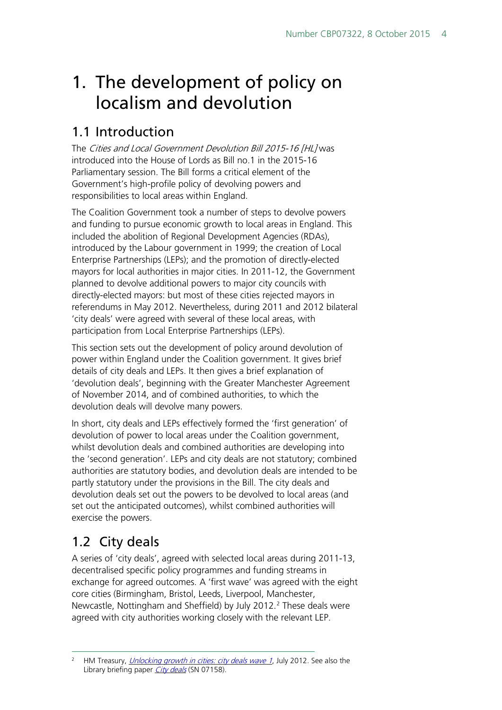# <span id="page-3-0"></span>1. The development of policy on localism and devolution

## <span id="page-3-1"></span>1.1 Introduction

The Cities and Local Government Devolution Bill 2015-16 [HL] was introduced into the House of Lords as Bill no.1 in the 2015-16 Parliamentary session. The Bill forms a critical element of the Government's high-profile policy of devolving powers and responsibilities to local areas within England.

The Coalition Government took a number of steps to devolve powers and funding to pursue economic growth to local areas in England. This included the abolition of Regional Development Agencies (RDAs), introduced by the Labour government in 1999; the creation of Local Enterprise Partnerships (LEPs); and the promotion of directly-elected mayors for local authorities in major cities. In 2011-12, the Government planned to devolve additional powers to major city councils with directly-elected mayors: but most of these cities rejected mayors in referendums in May 2012. Nevertheless, during 2011 and 2012 bilateral 'city deals' were agreed with several of these local areas, with participation from Local Enterprise Partnerships (LEPs).

This section sets out the development of policy around devolution of power within England under the Coalition government. It gives brief details of city deals and LEPs. It then gives a brief explanation of 'devolution deals', beginning with the Greater Manchester Agreement of November 2014, and of combined authorities, to which the devolution deals will devolve many powers.

In short, city deals and LEPs effectively formed the 'first generation' of devolution of power to local areas under the Coalition government, whilst devolution deals and combined authorities are developing into the 'second generation'. LEPs and city deals are not statutory; combined authorities are statutory bodies, and devolution deals are intended to be partly statutory under the provisions in the Bill. The city deals and devolution deals set out the powers to be devolved to local areas (and set out the anticipated outcomes), whilst combined authorities will exercise the powers.

## <span id="page-3-2"></span>1.2 City deals

A series of 'city deals', agreed with selected local areas during 2011-13, decentralised specific policy programmes and funding streams in exchange for agreed outcomes. A 'first wave' was agreed with the eight core cities (Birmingham, Bristol, Leeds, Liverpool, Manchester, Newcastle, Nottingham and Sheffield) by July [2](#page-3-3)012.<sup>2</sup> These deals were agreed with city authorities working closely with the relevant LEP.

<span id="page-3-3"></span>HM Treasury, [Unlocking growth in cities: city deals wave 1](https://www.gov.uk/government/uploads/system/uploads/attachment_data/file/7524/Guide-to-City-Deals-wave-1.pdf), July 2012. See also the Library briefing paper [City deals](http://researchbriefings.parliament.uk/ResearchBriefing/Summary/SN07158) (SN 07158).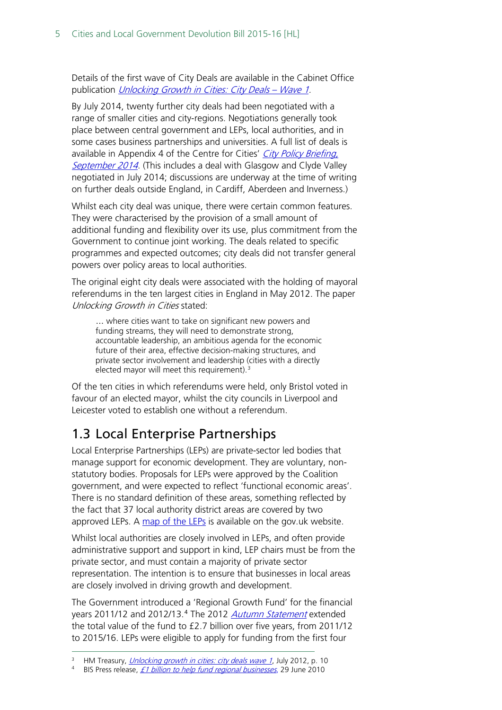Details of the first wave of City Deals are available in the Cabinet Office publication [Unlocking Growth in Cities: City Deals –](https://www.gov.uk/government/uploads/system/uploads/attachment_data/file/7523/CO_Unlocking_20GrowthCities_acc.pdf) Wave 1.

By July 2014, twenty further city deals had been negotiated with a range of smaller cities and city-regions. Negotiations generally took place between central government and LEPs, local authorities, and in some cases business partnerships and universities. A full list of deals is available in Appendix 4 of the Centre for Cities' City Policy Briefing, [September 2014](http://www.centreforcities.org/wp-content/uploads/2014/10/14-09-22-Cities-Policy-Briefing.pdf). (This includes a deal with Glasgow and Clyde Valley negotiated in July 2014; discussions are underway at the time of writing on further deals outside England, in Cardiff, Aberdeen and Inverness.)

Whilst each city deal was unique, there were certain common features. They were characterised by the provision of a small amount of additional funding and flexibility over its use, plus commitment from the Government to continue joint working. The deals related to specific programmes and expected outcomes; city deals did not transfer general powers over policy areas to local authorities.

The original eight city deals were associated with the holding of mayoral referendums in the ten largest cities in England in May 2012. The paper Unlocking Growth in Cities stated:

… where cities want to take on significant new powers and funding streams, they will need to demonstrate strong, accountable leadership, an ambitious agenda for the economic future of their area, effective decision-making structures, and private sector involvement and leadership (cities with a directly elected mayor will meet this requirement).<sup>[3](#page-4-1)</sup>

Of the ten cities in which referendums were held, only Bristol voted in favour of an elected mayor, whilst the city councils in Liverpool and Leicester voted to establish one without a referendum.

## <span id="page-4-0"></span>1.3 Local Enterprise Partnerships

Local Enterprise Partnerships (LEPs) are private-sector led bodies that manage support for economic development. They are voluntary, nonstatutory bodies. Proposals for LEPs were approved by the Coalition government, and were expected to reflect 'functional economic areas'. There is no standard definition of these areas, something reflected by the fact that 37 local authority district areas are covered by two approved LEPs. A [map of the LEPs](https://www.gov.uk/government/publications/local-enterprise-partnerships-map) is available on the gov.uk website.

Whilst local authorities are closely involved in LEPs, and often provide administrative support and support in kind, LEP chairs must be from the private sector, and must contain a majority of private sector representation. The intention is to ensure that businesses in local areas are closely involved in driving growth and development.

The Government introduced a 'Regional Growth Fund' for the financial years 2011/12 and 2012/13.<sup>[4](#page-4-2)</sup> The 2012 *[Autumn Statement](https://www.gov.uk/government/topical-events/autumn-statement-2012)* extended the total value of the fund to £2.7 billion over five years, from 2011/12 to 2015/16. LEPs were eligible to apply for funding from the first four

<span id="page-4-1"></span><sup>&</sup>lt;sup>3</sup> HM Treasury, *[Unlocking growth in cities: city deals wave 1](https://www.gov.uk/government/uploads/system/uploads/attachment_data/file/7524/Guide-to-City-Deals-wave-1.pdf)*, July 2012, p. 10<br><sup>4</sup> BIS Press release *£1 billion to belp fund regional businesses* 29 June 2010

<span id="page-4-2"></span>BIS Press release, [£1 billion to help fund regional businesses](https://www.gov.uk/government/news/1-billion-fund-to-help-regional-business--3), 29 June 2010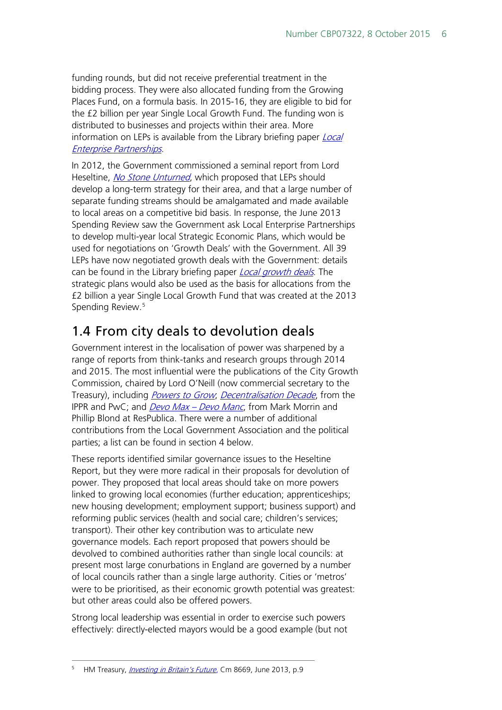funding rounds, but did not receive preferential treatment in the bidding process. They were also allocated funding from the Growing Places Fund, on a formula basis. In 2015-16, they are eligible to bid for the £2 billion per year Single Local Growth Fund. The funding won is distributed to businesses and projects within their area. More information on LEPs is available from the Library briefing paper *Local* [Enterprise Partnerships](http://researchbriefings.parliament.uk/ResearchBriefing/Summary/SN05651).

In 2012, the Government commissioned a seminal report from Lord Heseltine, *[No Stone Unturned](https://www.gov.uk/government/uploads/system/uploads/attachment_data/file/34648/12-1213-no-stone-unturned-in-pursuit-of-growth.pdf)*, which proposed that LEPs should develop a long-term strategy for their area, and that a large number of separate funding streams should be amalgamated and made available to local areas on a competitive bid basis. In response, the June 2013 Spending Review saw the Government ask Local Enterprise Partnerships to develop multi-year local Strategic Economic Plans, which would be used for negotiations on 'Growth Deals' with the Government. All 39 LEPs have now negotiated growth deals with the Government: details can be found in the Library briefing paper *[Local growth deals](http://researchbriefings.parliament.uk/ResearchBriefing/Summary/SN07120)*. The strategic plans would also be used as the basis for allocations from the £2 billion a year Single Local Growth Fund that was created at the 2013 Spending Review.<sup>[5](#page-5-1)</sup>

## <span id="page-5-0"></span>1.4 From city deals to devolution deals

Government interest in the localisation of power was sharpened by a range of reports from think-tanks and research groups through 2014 and 2015. The most influential were the publications of the City Growth Commission, chaired by Lord O'Neill (now commercial secretary to the Treasury), including *[Powers to Grow](http://www.citygrowthcommission.com/wp-content/uploads/2014/09/City-Growth-Commission-Powers-to-Grow.pdf), [Decentralisation Decade](http://www.ippr.org/publications/decentralisation-decade)*, from the IPPR and PwC; and *[Devo Max –](http://www.respublica.org.uk/wp-content/uploads/2014/10/csv-Devo-Max-Report.pdf) Devo Manc*, from Mark Morrin and Phillip Blond at ResPublica. There were a number of additional contributions from the Local Government Association and the political parties; a list can be found in section 4 below.

These reports identified similar governance issues to the Heseltine Report, but they were more radical in their proposals for devolution of power. They proposed that local areas should take on more powers linked to growing local economies (further education; apprenticeships; new housing development; employment support; business support) and reforming public services (health and social care; children's services; transport). Their other key contribution was to articulate new governance models. Each report proposed that powers should be devolved to combined authorities rather than single local councils: at present most large conurbations in England are governed by a number of local councils rather than a single large authority. Cities or 'metros' were to be prioritised, as their economic growth potential was greatest: but other areas could also be offered powers.

Strong local leadership was essential in order to exercise such powers effectively: directly-elected mayors would be a good example (but not

<span id="page-5-1"></span> <sup>5</sup> HM Treasury, [Investing in Britain's Future](https://www.gov.uk/government/uploads/system/uploads/attachment_data/file/209279/PU1524_IUK_new_template.pdf), Cm 8669, June 2013, p.9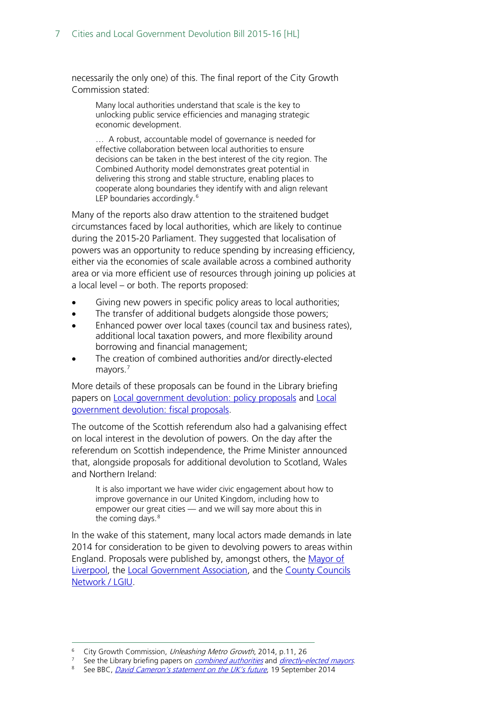necessarily the only one) of this. The final report of the City Growth Commission stated:

Many local authorities understand that scale is the key to unlocking public service efficiencies and managing strategic economic development.

… A robust, accountable model of governance is needed for effective collaboration between local authorities to ensure decisions can be taken in the best interest of the city region. The Combined Authority model demonstrates great potential in delivering this strong and stable structure, enabling places to cooperate along boundaries they identify with and align relevant LEP boundaries accordingly.<sup>[6](#page-6-0)</sup>

Many of the reports also draw attention to the straitened budget circumstances faced by local authorities, which are likely to continue during the 2015-20 Parliament. They suggested that localisation of powers was an opportunity to reduce spending by increasing efficiency, either via the economies of scale available across a combined authority area or via more efficient use of resources through joining up policies at a local level – or both. The reports proposed:

- Giving new powers in specific policy areas to local authorities;
- The transfer of additional budgets alongside those powers;
- Enhanced power over local taxes (council tax and business rates), additional local taxation powers, and more flexibility around borrowing and financial management;
- The creation of combined authorities and/or directly-elected mayors.[7](#page-6-1)

More details of these proposals can be found in the Library briefing papers on [Local government devolution: policy proposals](http://www.parliament.uk/business/publications/research/briefing-papers/SN07065/local-government-devolution-policy-proposals) and Local [government devolution: fiscal proposals.](http://www.parliament.uk/business/publications/research/briefing-papers/SN07046/local-government-devolution-fiscal-proposals)

The outcome of the Scottish referendum also had a galvanising effect on local interest in the devolution of powers. On the day after the referendum on Scottish independence, the Prime Minister announced that, alongside proposals for additional devolution to Scotland, Wales and Northern Ireland:

It is also important we have wider civic engagement about how to improve governance in our United Kingdom, including how to empower our great cities — and we will say more about this in the coming days.<sup>[8](#page-6-2)</sup>

In the wake of this statement, many local actors made demands in late 2014 for consideration to be given to devolving powers to areas within England. Proposals were published by, amongst others, the [Mayor of](http://www.lgcplus.com/news/devolution/comment-and-analysis/joe-anderson-liverpool-needs-the-same-devolution-deal-as-manchester/5083053.article?blocktitle=Comment-and-analysis&contentID=18554)  [Liverpool,](http://www.lgcplus.com/news/devolution/comment-and-analysis/joe-anderson-liverpool-needs-the-same-devolution-deal-as-manchester/5083053.article?blocktitle=Comment-and-analysis&contentID=18554) the [Local Government Association,](http://www.local.gov.uk/documents/10180/6869714/Devolution+to+Non-Metropolitan+England+-+Seven+steps+to+growth+and+prosperity.pdf/d2154c5b-230d-4680-905f-6c06b49e268c) and the [County Councils](http://www.lgiu.org.uk/report/the-state-of-care-in-counties/)  [Network / LGIU.](http://www.lgiu.org.uk/report/the-state-of-care-in-counties/)

<span id="page-6-0"></span><sup>&</sup>lt;sup>6</sup> City Growth Commission, *Unleashing Metro Growth*, 2014, p.11, 26

<span id="page-6-1"></span><sup>&</sup>lt;sup>7</sup> See the Library briefing papers on *[combined authorities](http://www.parliament.uk/business/publications/research/briefing-papers/SN06649/combined-authorities)* and *[directly-elected mayors](http://www.parliament.uk/business/publications/research/briefing-papers/SN05000/directlyelected-mayors)*.<br><sup>8</sup> See BBC David Cameron's statement on the UK's future 19 September 2014.

<span id="page-6-2"></span>See BBC, [David Cameron's statement on the UK's future](http://www.bbc.co.uk/news/uk-politics-29271765), 19 September 2014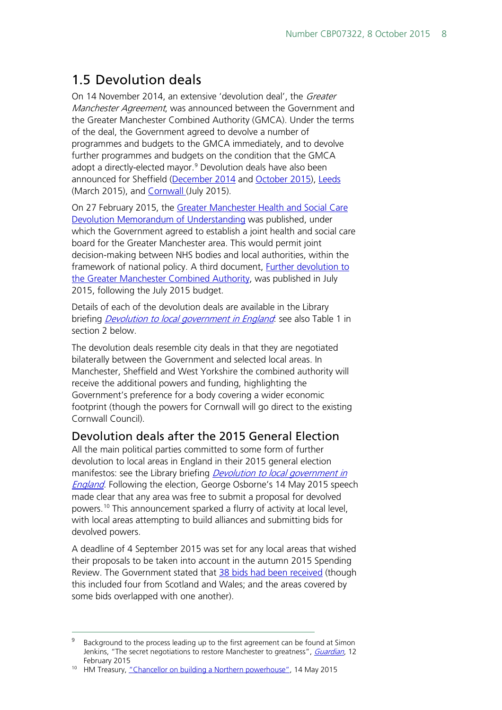## <span id="page-7-0"></span>1.5 Devolution deals

On 14 November 2014, an extensive 'devolution deal', the Greater Manchester Agreement, was announced between the Government and the Greater Manchester Combined Authority (GMCA). Under the terms of the deal, the Government agreed to devolve a number of programmes and budgets to the GMCA immediately, and to devolve further programmes and budgets on the condition that the GMCA adopt a directly-elected mayor.<sup>[9](#page-7-2)</sup> Devolution deals have also been announced for Sheffield [\(December 2014](http://sheffieldcityregion.org.uk/wp-content/uploads/2014/12/SCR-Devolution-Deal.pdf) and [October 2015\)](https://www.gov.uk/government/uploads/system/uploads/attachment_data/file/465340/Sheffield_devolution_deal_02102015.pdf), [Leeds](https://depositedpapers.parliament.uk/depositedpaper/view/2275871)  (March 2015), and [Cornwall \(](https://www.gov.uk/government/uploads/system/uploads/attachment_data/file/447419/20150715_Cornwall_Devolution_Deal_-_FINAL_-_reformatted.pdf)July 2015).

On 27 February 2015, the Greater Manchester Health and Social Care [Devolution Memorandum of Understanding](http://www.agma.gov.uk/cms_media/files/mou.pdf) was published, under which the Government agreed to establish a joint health and social care board for the Greater Manchester area. This would permit joint decision-making between NHS bodies and local authorities, within the framework of national policy. A third document, [Further devolution to](https://www.gov.uk/government/uploads/system/uploads/attachment_data/file/443087/Greater_Manchester_Further_Devolution.pdf)  [the Greater Manchester Combined Authority,](https://www.gov.uk/government/uploads/system/uploads/attachment_data/file/443087/Greater_Manchester_Further_Devolution.pdf) was published in July 2015, following the July 2015 budget.

Details of each of the devolution deals are available in the Library briefing *[Devolution to local government in England](http://researchbriefings.parliament.uk/ResearchBriefing/Summary/SN07029)*: see also Table 1 in section 2 below.

The devolution deals resemble city deals in that they are negotiated bilaterally between the Government and selected local areas. In Manchester, Sheffield and West Yorkshire the combined authority will receive the additional powers and funding, highlighting the Government's preference for a body covering a wider economic footprint (though the powers for Cornwall will go direct to the existing Cornwall Council).

### <span id="page-7-1"></span>Devolution deals after the 2015 General Election

All the main political parties committed to some form of further devolution to local areas in England in their 2015 general election manifestos: see the Library briefing *Devolution to local government in* [England](http://researchbriefings.parliament.uk/ResearchBriefing/Summary/SN07029). Following the election, George Osborne's 14 May 2015 speech made clear that any area was free to submit a proposal for devolved powers.[10](#page-7-3) This announcement sparked a flurry of activity at local level, with local areas attempting to build alliances and submitting bids for devolved powers.

A deadline of 4 September 2015 was set for any local areas that wished their proposals to be taken into account in the autumn 2015 Spending Review. The Government stated that [38 bids had been received](https://www.gov.uk/government/news/landmark-devolution-bids-submitted-from-right-across-the-country) (though this included four from Scotland and Wales; and the areas covered by some bids overlapped with one another).

<span id="page-7-2"></span>Background to the process leading up to the first agreement can be found at Simon Jenkins, "The secret negotiations to restore Manchester to greatness", [Guardian](http://www.theguardian.com/uk-news/2015/feb/12/secret-negotiations-restore-manchester-greatness), 12 February 2015 10 HM Treasury, ["Chancellor on building a Northern powerhouse",](https://www.gov.uk/government/speeches/chancellor-on-building-a-northern-powerhouse) 14 May 2015

<span id="page-7-3"></span>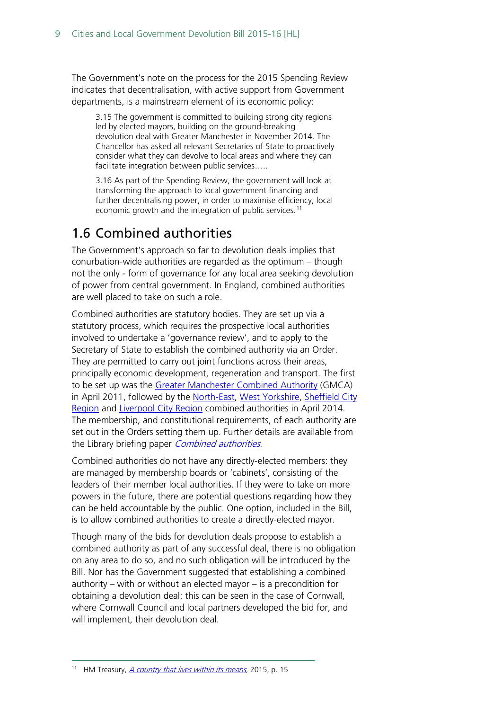The Government's note on the process for the 2015 Spending Review indicates that decentralisation, with active support from Government departments, is a mainstream element of its economic policy:

3.15 The government is committed to building strong city regions led by elected mayors, building on the ground-breaking devolution deal with Greater Manchester in November 2014. The Chancellor has asked all relevant Secretaries of State to proactively consider what they can devolve to local areas and where they can facilitate integration between public services.....

3.16 As part of the Spending Review, the government will look at transforming the approach to local government financing and further decentralising power, in order to maximise efficiency, local economic growth and the integration of public services.<sup>[11](#page-8-1)</sup>

## <span id="page-8-0"></span>1.6 Combined authorities

The Government's approach so far to devolution deals implies that conurbation-wide authorities are regarded as the optimum – though not the only - form of governance for any local area seeking devolution of power from central government. In England, combined authorities are well placed to take on such a role.

Combined authorities are statutory bodies. They are set up via a statutory process, which requires the prospective local authorities involved to undertake a 'governance review', and to apply to the Secretary of State to establish the combined authority via an Order. They are permitted to carry out joint functions across their areas, principally economic development, regeneration and transport. The first to be set up was the [Greater Manchester Combined Authority](http://www.agma.gov.uk/) (GMCA) in April 2011, followed by the [North-East,](http://www.northeastca.gov.uk/) [West Yorkshire,](http://www.westyorks-ca.gov.uk/) Sheffield City [Region](http://sheffieldcityregion.org.uk/about/the-sheffield-city-region-authority/) and [Liverpool City Region](http://www.knowsley.gov.uk/news/news-and-press-releases/lcr-combined-authority-intro.aspx) combined authorities in April 2014. The membership, and constitutional requirements, of each authority are set out in the Orders setting them up. Further details are available from the Library briefing paper [Combined authorities](http://researchbriefings.parliament.uk/ResearchBriefing/Summary/SN06649).

Combined authorities do not have any directly-elected members: they are managed by membership boards or 'cabinets', consisting of the leaders of their member local authorities. If they were to take on more powers in the future, there are potential questions regarding how they can be held accountable by the public. One option, included in the Bill, is to allow combined authorities to create a directly-elected mayor.

Though many of the bids for devolution deals propose to establish a combined authority as part of any successful deal, there is no obligation on any area to do so, and no such obligation will be introduced by the Bill. Nor has the Government suggested that establishing a combined authority – with or without an elected mayor – is a precondition for obtaining a devolution deal: this can be seen in the case of Cornwall, where Cornwall Council and local partners developed the bid for, and will implement, their devolution deal.

<span id="page-8-1"></span><sup>&</sup>lt;sup>11</sup> HM Treasury, *[A country that lives within its means](https://www.gov.uk/government/uploads/system/uploads/attachment_data/file/447101/a_country_that_lives_within_its_means.pdf)*, 2015, p. 15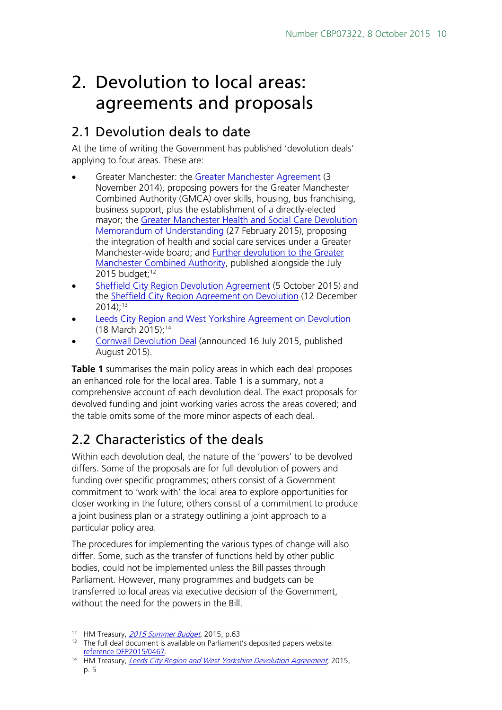# <span id="page-9-0"></span>2. Devolution to local areas: agreements and proposals

## <span id="page-9-1"></span>2.1 Devolution deals to date

At the time of writing the Government has published 'devolution deals' applying to four areas. These are:

- Greater Manchester: the [Greater Manchester Agreement](https://www.gov.uk/government/publications/devolution-to-the-greater-manchester-combined-authority-and-transition-to-a-directly-elected-mayor) (3 November 2014), proposing powers for the Greater Manchester Combined Authority (GMCA) over skills, housing, bus franchising, business support, plus the establishment of a directly-elected mayor; the Greater [Manchester Health and Social Care Devolution](http://www.agma.gov.uk/cms_media/files/mou.pdf)  [Memorandum of Understanding](http://www.agma.gov.uk/cms_media/files/mou.pdf) (27 February 2015), proposing the integration of health and social care services under a Greater Manchester-wide board; and [Further devolution to the Greater](https://www.gov.uk/government/uploads/system/uploads/attachment_data/file/443087/Greater_Manchester_Further_Devolution.pdf)  [Manchester Combined Authority,](https://www.gov.uk/government/uploads/system/uploads/attachment_data/file/443087/Greater_Manchester_Further_Devolution.pdf) published alongside the July 2015 budget; $12$
- [Sheffield City Region Devolution Agreement](https://www.gov.uk/government/uploads/system/uploads/attachment_data/file/465340/Sheffield_devolution_deal_02102015.pdf) (5 October 2015) and the [Sheffield City Region Agreement on Devolution](http://sheffieldcityregion.org.uk/wp-content/uploads/2014/12/SCR-Devolution-Deal.pdf) (12 December  $2014$ ;<sup>13</sup>
- Leeds City Region and West Yorkshire Agreement on Devolution (18 March 2015);[14](#page-9-5)
- [Cornwall Devolution Deal](https://www.gov.uk/government/uploads/system/uploads/attachment_data/file/447419/20150715_Cornwall_Devolution_Deal_-_FINAL_-_reformatted.pdf) (announced 16 July 2015, published August 2015).

**Table 1** summarises the main policy areas in which each deal proposes an enhanced role for the local area. Table 1 is a summary, not a comprehensive account of each devolution deal. The exact proposals for devolved funding and joint working varies across the areas covered; and the table omits some of the more minor aspects of each deal.

## <span id="page-9-2"></span>2.2 Characteristics of the deals

Within each devolution deal, the nature of the 'powers' to be devolved differs. Some of the proposals are for full devolution of powers and funding over specific programmes; others consist of a Government commitment to 'work with' the local area to explore opportunities for closer working in the future; others consist of a commitment to produce a joint business plan or a strategy outlining a joint approach to a particular policy area.

The procedures for implementing the various types of change will also differ. Some, such as the transfer of functions held by other public bodies, could not be implemented unless the Bill passes through Parliament. However, many programmes and budgets can be transferred to local areas via executive decision of the Government, without the need for the powers in the Bill.

<span id="page-9-3"></span><sup>&</sup>lt;sup>12</sup> HM Treasury, **[2015 Summer Budget](https://www.gov.uk/government/uploads/system/uploads/attachment_data/file/443232/50325_Summer_Budget_15_Web_Accessible.pdf)**, 2015, p.63

<span id="page-9-4"></span> $13$  The full deal document is available on Parliament's deposited papers website: [reference DEP2015/0467.](https://depositedpapers.parliament.uk/depositedpaper/view/2275871)

<span id="page-9-5"></span><sup>&</sup>lt;sup>14</sup> HM Treasury, [Leeds City Region and West Yorkshire Devolution Agreement,](https://depositedpapers.parliament.uk/depositedpaper/view/2275871) 2015, p. 5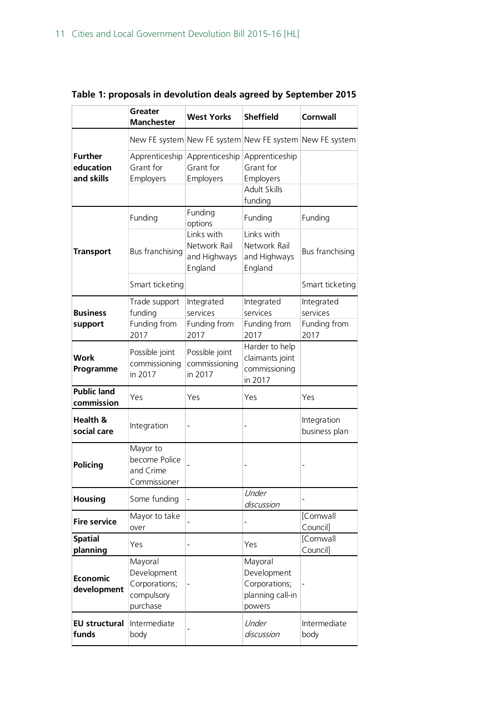|                                           | Greater<br><b>Manchester</b>                                      | <b>West Yorks</b>                                     | <b>Sheffield</b>                                                           | <b>Cornwall</b>                                |
|-------------------------------------------|-------------------------------------------------------------------|-------------------------------------------------------|----------------------------------------------------------------------------|------------------------------------------------|
|                                           |                                                                   |                                                       | New FE system New FE system New FE system New FE system                    |                                                |
| <b>Further</b><br>education<br>and skills | Apprenticeship<br>Grant for<br>Employers                          | Apprenticeship<br>Grant for<br>Employers              | Apprenticeship<br>Grant for<br>Employers<br><b>Adult Skills</b><br>funding |                                                |
|                                           | Funding                                                           | Funding<br>options                                    | Funding                                                                    | Funding                                        |
| <b>Transport</b>                          | Bus franchising                                                   | Links with<br>Network Rail<br>and Highways<br>England | Links with<br>Network Rail<br>and Highways<br>England                      | Bus franchising                                |
|                                           | Smart ticketing                                                   |                                                       |                                                                            | Smart ticketing                                |
| <b>Business</b><br>support                | Trade support<br>funding<br>Funding from<br>2017                  | Integrated<br>services<br>Funding from<br>2017        | Integrated<br>services<br>Funding from<br>2017                             | Integrated<br>services<br>Funding from<br>2017 |
| Work<br>Programme                         | Possible joint<br>commissioning<br>in 2017                        | Possible joint<br>commissioning<br>in 2017            | Harder to help<br>claimants joint<br>commissioning<br>in 2017              |                                                |
| <b>Public land</b><br>commission          | Yes                                                               | Yes                                                   | Yes                                                                        | Yes                                            |
| Health &<br>social care                   | Integration                                                       |                                                       |                                                                            | Integration<br>business plan                   |
| <b>Policing</b>                           | Mayor to<br>become Police<br>and Crime<br>Commissioner            |                                                       |                                                                            |                                                |
| <b>Housing</b>                            | Some funding                                                      |                                                       | Under<br>discussion                                                        |                                                |
| <b>Fire service</b>                       | Mayor to take<br>over                                             |                                                       |                                                                            | [Cornwall<br>Council]                          |
| <b>Spatial</b><br>planning                | Yes                                                               |                                                       | Yes                                                                        | [Cornwall<br>Council]                          |
| <b>Economic</b><br>development            | Mayoral<br>Development<br>Corporations;<br>compulsory<br>purchase |                                                       | Mayoral<br>Development<br>Corporations;<br>planning call-in<br>powers      |                                                |
| <b>EU structural</b><br>funds             | Intermediate<br>body                                              |                                                       | Under<br>discussion                                                        | Intermediate<br>body                           |

## **Table 1: proposals in devolution deals agreed by September 2015**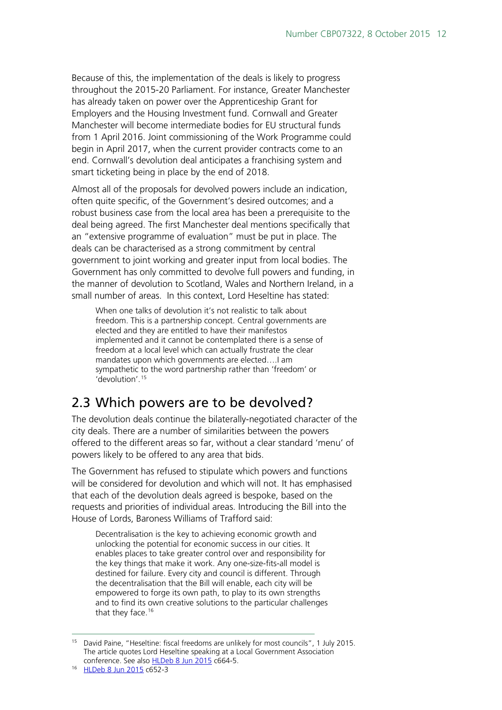Because of this, the implementation of the deals is likely to progress throughout the 2015-20 Parliament. For instance, Greater Manchester has already taken on power over the Apprenticeship Grant for Employers and the Housing Investment fund. Cornwall and Greater Manchester will become intermediate bodies for EU structural funds from 1 April 2016. Joint commissioning of the Work Programme could begin in April 2017, when the current provider contracts come to an end. Cornwall's devolution deal anticipates a franchising system and smart ticketing being in place by the end of 2018.

Almost all of the proposals for devolved powers include an indication, often quite specific, of the Government's desired outcomes; and a robust business case from the local area has been a prerequisite to the deal being agreed. The first Manchester deal mentions specifically that an "extensive programme of evaluation" must be put in place. The deals can be characterised as a strong commitment by central government to joint working and greater input from local bodies. The Government has only committed to devolve full powers and funding, in the manner of devolution to Scotland, Wales and Northern Ireland, in a small number of areas. In this context, Lord Heseltine has stated:

When one talks of devolution it's not realistic to talk about freedom. This is a partnership concept. Central governments are elected and they are entitled to have their manifestos implemented and it cannot be contemplated there is a sense of freedom at a local level which can actually frustrate the clear mandates upon which governments are elected….I am sympathetic to the word partnership rather than 'freedom' or 'devolution'.[15](#page-11-1)

## <span id="page-11-0"></span>2.3 Which powers are to be devolved?

The devolution deals continue the bilaterally-negotiated character of the city deals. There are a number of similarities between the powers offered to the different areas so far, without a clear standard 'menu' of powers likely to be offered to any area that bids.

The Government has refused to stipulate which powers and functions will be considered for devolution and which will not. It has emphasised that each of the devolution deals agreed is bespoke, based on the requests and priorities of individual areas. Introducing the Bill into the House of Lords, Baroness Williams of Trafford said:

Decentralisation is the key to achieving economic growth and unlocking the potential for economic success in our cities. It enables places to take greater control over and responsibility for the key things that make it work. Any one-size-fits-all model is destined for failure. Every city and council is different. Through the decentralisation that the Bill will enable, each city will be empowered to forge its own path, to play to its own strengths and to find its own creative solutions to the particular challenges that they face.<sup>[16](#page-11-2)</sup>

<span id="page-11-1"></span> <sup>15</sup> David Paine, "Heseltine: fiscal freedoms are unlikely for most councils", 1 July 2015. The article quotes Lord Heseltine speaking at a Local Government Association conference. See also [HLDeb 8 Jun 2015](http://www.publications.parliament.uk/pa/ld201516/ldhansrd/text/150608-0001.htm%2315060812000054) c664-5.

<span id="page-11-2"></span><sup>16</sup> [HLDeb 8 Jun 2015](http://www.publications.parliament.uk/pa/ld201516/ldhansrd/text/150608-0001.htm%2315060812000366) c652-3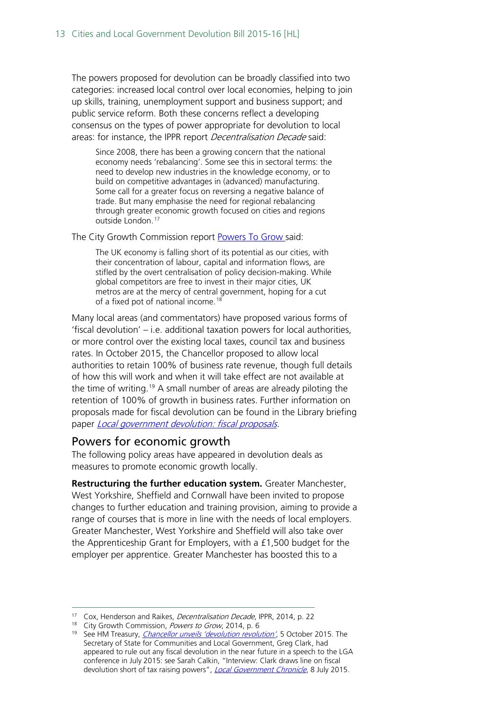The powers proposed for devolution can be broadly classified into two categories: increased local control over local economies, helping to join up skills, training, unemployment support and business support; and public service reform. Both these concerns reflect a developing consensus on the types of power appropriate for devolution to local areas: for instance, the IPPR report *Decentralisation Decade* said:

Since 2008, there has been a growing concern that the national economy needs 'rebalancing'. Some see this in sectoral terms: the need to develop new industries in the knowledge economy, or to build on competitive advantages in (advanced) manufacturing. Some call for a greater focus on reversing a negative balance of trade. But many emphasise the need for regional rebalancing through greater economic growth focused on cities and regions outside London.<sup>[17](#page-12-1)</sup>

The City Growth Commission report [Powers To Grow s](http://www.citygrowthcommission.com/wp-content/uploads/2014/09/City-Growth-Commission-Powers-to-Grow.pdf)aid:

The UK economy is falling short of its potential as our cities, with their concentration of labour, capital and information flows, are stifled by the overt centralisation of policy decision-making. While global competitors are free to invest in their major cities, UK metros are at the mercy of central government, hoping for a cut of a fixed pot of national income.<sup>[18](#page-12-2)</sup>

Many local areas (and commentators) have proposed various forms of 'fiscal devolution' – i.e. additional taxation powers for local authorities, or more control over the existing local taxes, council tax and business rates. In October 2015, the Chancellor proposed to allow local authorities to retain 100% of business rate revenue, though full details of how this will work and when it will take effect are not available at the time of writing.<sup>[19](#page-12-3)</sup> A small number of areas are already piloting the retention of 100% of growth in business rates. Further information on proposals made for fiscal devolution can be found in the Library briefing paper *Local government devolution: fiscal proposals*.

### <span id="page-12-0"></span>Powers for economic growth

The following policy areas have appeared in devolution deals as measures to promote economic growth locally.

**Restructuring the further education system.** Greater Manchester, West Yorkshire, Sheffield and Cornwall have been invited to propose changes to further education and training provision, aiming to provide a range of courses that is more in line with the needs of local employers. Greater Manchester, West Yorkshire and Sheffield will also take over the Apprenticeship Grant for Employers, with a £1,500 budget for the employer per apprentice. Greater Manchester has boosted this to a

<span id="page-12-1"></span><sup>&</sup>lt;sup>17</sup> Cox, Henderson and Raikes, *Decentralisation Decade*, IPPR, 2014, p. 22

<span id="page-12-2"></span><sup>&</sup>lt;sup>18</sup> City Growth Commission, Powers to Grow, 2014, p. 6

<span id="page-12-3"></span><sup>&</sup>lt;sup>19</sup> See HM Treasury, *[Chancellor unveils 'devolution revolution'](https://www.gov.uk/government/news/chancellor-unveils-devolution-revolution)*, 5 October 2015. The Secretary of State for Communities and Local Government, Greg Clark, had appeared to rule out any fiscal devolution in the near future in a speech to the LGA conference in July 2015: see Sarah Calkin, "Interview: Clark draws line on fiscal devolution short of tax raising powers", [Local Government Chronicle](http://www.lgcplus.com/news/interview-clark-draws-line-on-fiscal-devolution-short-of-tax-raising-powers/5087598.article), 8 July 2015.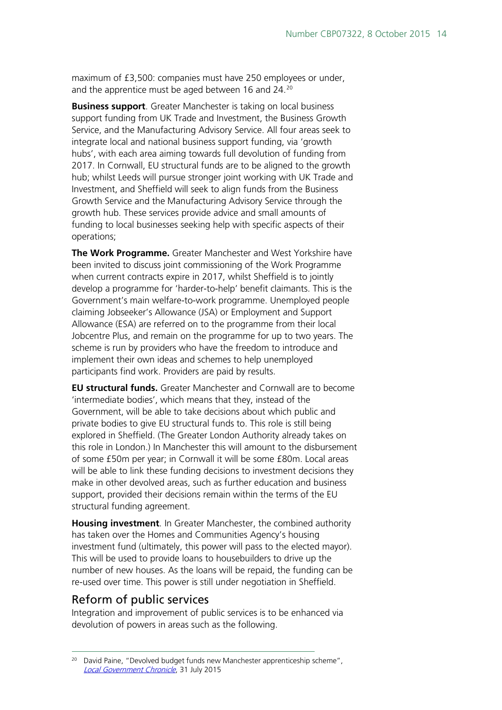maximum of £3,500: companies must have 250 employees or under, and the apprentice must be aged between 16 and 24.<sup>[20](#page-13-1)</sup>

**Business support**. Greater Manchester is taking on local business support funding from UK Trade and Investment, the Business Growth Service, and the Manufacturing Advisory Service. All four areas seek to integrate local and national business support funding, via 'growth hubs', with each area aiming towards full devolution of funding from 2017. In Cornwall, EU structural funds are to be aligned to the growth hub; whilst Leeds will pursue stronger joint working with UK Trade and Investment, and Sheffield will seek to align funds from the Business Growth Service and the Manufacturing Advisory Service through the growth hub. These services provide advice and small amounts of funding to local businesses seeking help with specific aspects of their operations;

**The Work Programme.** Greater Manchester and West Yorkshire have been invited to discuss joint commissioning of the Work Programme when current contracts expire in 2017, whilst Sheffield is to jointly develop a programme for 'harder-to-help' benefit claimants. This is the Government's main welfare-to-work programme. Unemployed people claiming Jobseeker's Allowance (JSA) or Employment and Support Allowance (ESA) are referred on to the programme from their local Jobcentre Plus, and remain on the programme for up to two years. The scheme is run by providers who have the freedom to introduce and implement their own ideas and schemes to help unemployed participants find work. Providers are paid by results.

**EU structural funds.** Greater Manchester and Cornwall are to become 'intermediate bodies', which means that they, instead of the Government, will be able to take decisions about which public and private bodies to give EU structural funds to. This role is still being explored in Sheffield. (The Greater London Authority already takes on this role in London.) In Manchester this will amount to the disbursement of some £50m per year; in Cornwall it will be some £80m. Local areas will be able to link these funding decisions to investment decisions they make in other devolved areas, such as further education and business support, provided their decisions remain within the terms of the EU structural funding agreement.

**Housing investment**. In Greater Manchester, the combined authority has taken over the Homes and Communities Agency's housing investment fund (ultimately, this power will pass to the elected mayor). This will be used to provide loans to housebuilders to drive up the number of new houses. As the loans will be repaid, the funding can be re-used over time. This power is still under negotiation in Sheffield.

### <span id="page-13-0"></span>Reform of public services

Integration and improvement of public services is to be enhanced via devolution of powers in areas such as the following.

<span id="page-13-1"></span><sup>&</sup>lt;sup>20</sup> David Paine, "Devolved budget funds new Manchester apprenticeship scheme", [Local Government Chronicle](http://www.lgcplus.com/news/devolution/devolved-budget-funds-new-manchester-apprenticeship-scheme/5089303.article), 31 July 2015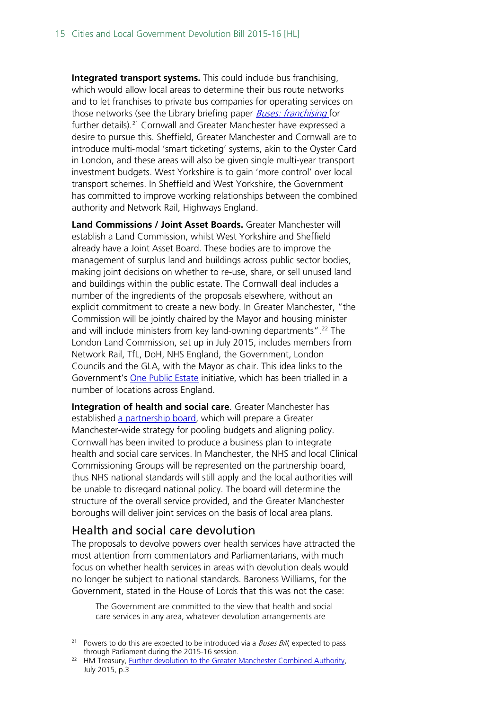**Integrated transport systems.** This could include bus franchising, which would allow local areas to determine their bus route networks and to let franchises to private bus companies for operating services on those networks (see the Library briefing paper *Buses: franchising* for further details).<sup>[21](#page-14-1)</sup> Cornwall and Greater Manchester have expressed a desire to pursue this. Sheffield, Greater Manchester and Cornwall are to introduce multi-modal 'smart ticketing' systems, akin to the Oyster Card in London, and these areas will also be given single multi-year transport investment budgets. West Yorkshire is to gain 'more control' over local transport schemes. In Sheffield and West Yorkshire, the Government has committed to improve working relationships between the combined authority and Network Rail, Highways England.

**Land Commissions / Joint Asset Boards.** Greater Manchester will establish a Land Commission, whilst West Yorkshire and Sheffield already have a Joint Asset Board. These bodies are to improve the management of surplus land and buildings across public sector bodies, making joint decisions on whether to re-use, share, or sell unused land and buildings within the public estate. The Cornwall deal includes a number of the ingredients of the proposals elsewhere, without an explicit commitment to create a new body. In Greater Manchester, "the Commission will be jointly chaired by the Mayor and housing minister and will include ministers from key land-owning departments".<sup>[22](#page-14-2)</sup> The London Land Commission, set up in July 2015, includes members from Network Rail, TfL, DoH, NHS England, the Government, London Councils and the GLA, with the Mayor as chair. This idea links to the Government's [One Public Estate](http://www.local.gov.uk/onepublicestate/-/journal_content/56/10180/6678286/ARTICLE) initiative, which has been trialled in a number of locations across England.

**Integration of health and social care**. Greater Manchester has established [a partnership board,](http://gmhealthandsocialcaredevo.org.uk/) which will prepare a Greater Manchester-wide strategy for pooling budgets and aligning policy. Cornwall has been invited to produce a business plan to integrate health and social care services. In Manchester, the NHS and local Clinical Commissioning Groups will be represented on the partnership board, thus NHS national standards will still apply and the local authorities will be unable to disregard national policy. The board will determine the structure of the overall service provided, and the Greater Manchester boroughs will deliver joint services on the basis of local area plans.

### <span id="page-14-0"></span>Health and social care devolution

The proposals to devolve powers over health services have attracted the most attention from commentators and Parliamentarians, with much focus on whether health services in areas with devolution deals would no longer be subject to national standards. Baroness Williams, for the Government, stated in the House of Lords that this was not the case:

The Government are committed to the view that health and social care services in any area, whatever devolution arrangements are

<span id="page-14-1"></span><sup>&</sup>lt;sup>21</sup> Powers to do this are expected to be introduced via a *Buses Bill*, expected to pass through Parliament during the 2015-16 session.

<span id="page-14-2"></span><sup>&</sup>lt;sup>22</sup> HM Treasury, <u>Further devolution to the Greater Manchester Combined Authority</u>, July 2015, p.3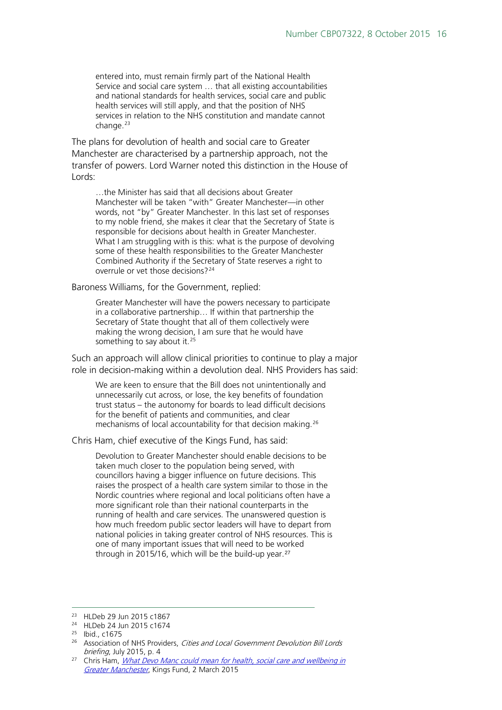entered into, must remain firmly part of the National Health Service and social care system … that all existing accountabilities and national standards for health services, social care and public health services will still apply, and that the position of NHS services in relation to the NHS constitution and mandate cannot change.<sup>[23](#page-15-0)</sup>

The plans for devolution of health and social care to Greater Manchester are characterised by a partnership approach, not the transfer of powers. Lord Warner noted this distinction in the House of Lords:

…the Minister has said that all decisions about Greater Manchester will be taken "with" Greater Manchester—in other words, not "by" Greater Manchester. In this last set of responses to my noble friend, she makes it clear that the Secretary of State is responsible for decisions about health in Greater Manchester. What I am struggling with is this: what is the purpose of devolving some of these health responsibilities to the Greater Manchester Combined Authority if the Secretary of State reserves a right to overrule or vet those decisions?[24](#page-15-1)

Baroness Williams, for the Government, replied:

Greater Manchester will have the powers necessary to participate in a collaborative partnership… If within that partnership the Secretary of State thought that all of them collectively were making the wrong decision, I am sure that he would have something to say about it.<sup>[25](#page-15-2)</sup>

Such an approach will allow clinical priorities to continue to play a major role in decision-making within a devolution deal. NHS Providers has said:

We are keen to ensure that the Bill does not unintentionally and unnecessarily cut across, or lose, the key benefits of foundation trust status – the autonomy for boards to lead difficult decisions for the benefit of patients and communities, and clear mechanisms of local accountability for that decision making.[26](#page-15-3)

Chris Ham, chief executive of the Kings Fund, has said:

Devolution to Greater Manchester should enable decisions to be taken much closer to the population being served, with councillors having a bigger influence on future decisions. This raises the prospect of a health care system similar to those in the Nordic countries where regional and local politicians often have a more significant role than their national counterparts in the running of health and care services. The unanswered question is how much freedom public sector leaders will have to depart from national policies in taking greater control of NHS resources. This is one of many important issues that will need to be worked through in 2015/16, which will be the build-up year.<sup>[27](#page-15-4)</sup>

<span id="page-15-0"></span> <sup>23</sup> HLDeb 29 Jun 2015 c1867

<sup>24</sup> HLDeb 24 Jun 2015 c1674

<span id="page-15-2"></span><span id="page-15-1"></span><sup>25</sup> Ibid., c1675

<span id="page-15-3"></span><sup>&</sup>lt;sup>26</sup> Association of NHS Providers, Cities and Local Government Devolution Bill Lords briefing, July 2015, p. 4

<span id="page-15-4"></span> $27$  Chris Ham, *What Devo Manc could mean for health, social care and wellbeing in* [Greater Manchester](http://www.kingsfund.org.uk/blog/2015/03/devo-manc-health-social-care-wellbeing-greater-manchester), Kings Fund, 2 March 2015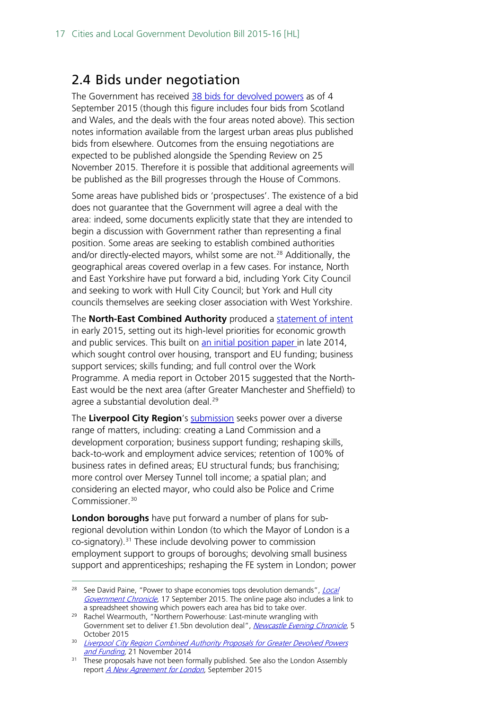## <span id="page-16-0"></span>2.4 Bids under negotiation

The Government has received [38 bids for devolved powers](https://www.gov.uk/government/news/landmark-devolution-bids-submitted-from-right-across-the-country) as of 4 September 2015 (though this figure includes four bids from Scotland and Wales, and the deals with the four areas noted above). This section notes information available from the largest urban areas plus published bids from elsewhere. Outcomes from the ensuing negotiations are expected to be published alongside the Spending Review on 25 November 2015. Therefore it is possible that additional agreements will be published as the Bill progresses through the House of Commons.

Some areas have published bids or 'prospectuses'. The existence of a bid does not guarantee that the Government will agree a deal with the area: indeed, some documents explicitly state that they are intended to begin a discussion with Government rather than representing a final position. Some areas are seeking to establish combined authorities and/or directly-elected mayors, whilst some are not.<sup>[28](#page-16-1)</sup> Additionally, the geographical areas covered overlap in a few cases. For instance, North and East Yorkshire have put forward a bid, including York City Council and seeking to work with Hull City Council; but York and Hull city councils themselves are seeking closer association with West Yorkshire.

The **North-East Combined Authority** produced a [statement of intent](http://www.northeastca.gov.uk/sites/default/files/minutes_document/Devolution%20Statement%20of%20Intent_0.pdf)  in early 2015, setting out its high-level priorities for economic growth and public services. This built on [an initial position paper i](http://www.northeastca.gov.uk/sites/default/files/minutes_document/NECA%20Devolution%20-%20Outline%20proposals.pdf)n late 2014, which sought control over housing, transport and EU funding; business support services; skills funding; and full control over the Work Programme. A media report in October 2015 suggested that the North-East would be the next area (after Greater Manchester and Sheffield) to agree a substantial devolution deal.<sup>[29](#page-16-2)</sup>

The **Liverpool City Region**'s [submission](http://www.lgcplus.com/Journals/2015/09/03/t/s/a/Liverpool-devo-asks-020915.pdf) seeks power over a diverse range of matters, including: creating a Land Commission and a development corporation; business support funding; reshaping skills, back-to-work and employment advice services; retention of 100% of business rates in defined areas; EU structural funds; bus franchising; more control over Mersey Tunnel toll income; a spatial plan; and considering an elected mayor, who could also be Police and Crime Commissioner.<sup>[30](#page-16-3)</sup>

**London boroughs** have put forward a number of plans for subregional devolution within London (to which the Mayor of London is a co-signatory). [31](#page-16-4) These include devolving power to commission employment support to groups of boroughs; devolving small business support and apprenticeships; reshaping the FE system in London; power

<span id="page-16-1"></span><sup>&</sup>lt;sup>28</sup> See David Paine, "Power to shape economies tops devolution demands", *Local* [Government Chronicle](http://www.lgcplus.com/news/devolution/exclusive-power-to-shape-economies-tops-devolution-demands/5090358.article?blocktitle=Latest-Local-Government-News&contentID=2249), 17 September 2015. The online page also includes a link to a spreadsheet showing which powers each area has bid to take over. 29 Rachel Wearmouth, "Northern Powerhouse: Last-minute wrangling with

<span id="page-16-2"></span>Government set to deliver £1.5bn devolution deal", [Newcastle Evening Chronicle](http://www.chroniclelive.co.uk/news/north-east-news/northern-powerhouse-last-minute-wrangling-10193048%23ICID=sharebar_twitter), 5 October 2015

<span id="page-16-3"></span><sup>&</sup>lt;sup>30</sup> Liverpool City Region Combined Authority Proposals for Greater Devolved Powers [and Funding](http://www.lgcplus.com/Journals/2014/11/17/z/j/r/Liverpool-CR-devolution-proposals.pdf), 21 November 2014

<span id="page-16-4"></span><sup>&</sup>lt;sup>31</sup> These proposals have not been formally published. See also the London Assembly report [A New Agreement for London](http://www.london.gov.uk/sites/default/files/A%20New%20Agreement%20for%20London_2.pdf), September 2015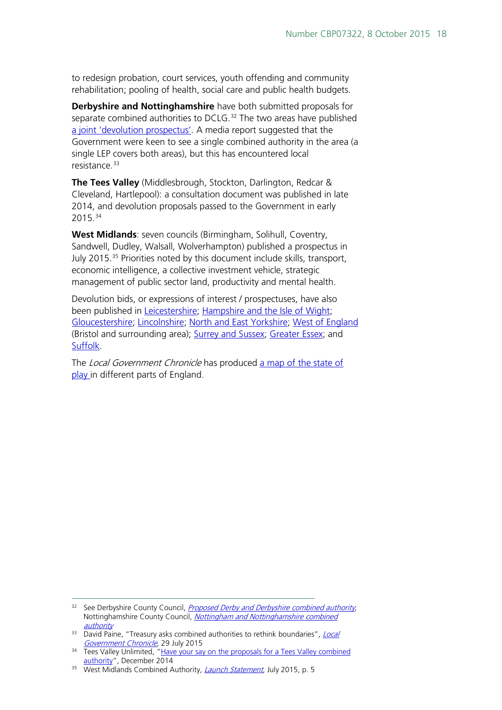to redesign probation, court services, youth offending and community rehabilitation; pooling of health, social care and public health budgets.

**Derbyshire and Nottinghamshire** have both submitted proposals for separate combined authorities to DCLG.<sup>[32](#page-17-0)</sup> The two areas have published [a joint 'devolution prospectus'.](http://www.d2n2lep.org/write/Devolution_Prospectus.pdf) A media report suggested that the Government were keen to see a single combined authority in the area (a single LEP covers both areas), but this has encountered local resistance.<sup>[33](#page-17-1)</sup>

**The Tees Valley** (Middlesbrough, Stockton, Darlington, Redcar & Cleveland, Hartlepool): a consultation document was published in late 2014, and devolution proposals passed to the Government in early 2015.[34](#page-17-2)

**West Midlands**: seven councils (Birmingham, Solihull, Coventry, Sandwell, Dudley, Walsall, Wolverhampton) published a prospectus in July 2015.[35](#page-17-3) Priorities noted by this document include skills, transport, economic intelligence, a collective investment vehicle, strategic management of public sector land, productivity and mental health.

Devolution bids, or expressions of interest / prospectuses, have also been published in [Leicestershire;](http://www.leics.gov.uk/combinedauthority) [Hampshire and the Isle of Wight;](https://www.basingstoke.gov.uk/content/page/40534/Hampshire%20and%20Isle%20of%20Wight%20Devolution%20Prospectus%20September%202015.pdf) [Gloucestershire;](http://www.gloucestershire.gov.uk/CHttpHandler.ashx?id=64009&p=0) [Lincolnshire;](http://www.lincolnshire.gov.uk/Download/89099) [North and East Yorkshire;](http://www.northyorks.gov.uk/article/31125/Devolution-and-North-Yorkshire) [West of England](http://collateral.vuelio.uk.com/RemoteStorage/Bristol/Releases/843/20150904%20West%20of%20England%20-%20Devolution%20Submission.pdf)  (Bristol and surrounding area); [Surrey and Sussex;](http://www.surreycc.gov.uk/__data/assets/pdf_file/0005/66911/WS31256-Three-Counties-DEVOLUTION-Prospectus-v2.pdf) [Greater Essex;](http://www.essex.gov.uk/News/Documents/letter-devolution-2015.pdf) and [Suffolk.](http://www.suffolkcoastal.gov.uk/assets/Images/Council/2015-09-04-Master-Devolution-Proposal.pdf)

The Local Government Chronicle has produced a map of the state of [play i](http://www.lgcplus.com/Journals/2015/09/01/x/k/a/Devolution-map-2015-web.pdf)n different parts of England.

<span id="page-17-0"></span><sup>&</sup>lt;sup>32</sup> See Derbyshire County Council, *[Proposed Derby and Derbyshire combined authority](http://www.derbyshire.gov.uk/council/partnerships/combined-authority/default.asp)*, Nottinghamshire County Council, Nottingham and Nottinghamshire combined [authority](http://www.nottinghamshire.gov.uk/thecouncil/plans/councilplansandpolicies/combined-authority/)

<span id="page-17-1"></span><sup>&</sup>lt;sup>33</sup> David Paine, "Treasury asks combined authorities to rethink boundaries", *Local* [Government Chronicle,](http://www.lgcplus.com/news/devolution/exclusive-treasury-asks-combined-authorities-to-rethink-boundaries/5089250.article) 29 July 2015

<span id="page-17-2"></span><sup>&</sup>lt;sup>34</sup> Tees Valley Unlimited, "Have your say on the proposals for a Tees Valley combined [authority"](https://www.teesvalleyunlimited.gov.uk/media/271276/consultation_document_10_12_14.pdf), December 2014

<span id="page-17-3"></span><sup>&</sup>lt;sup>35</sup> West Midlands Combined Authority, *[Launch Statement](http://www.westmidlandscombinedauthority.org.uk/assets/docs/WestMidlandsCombinedAuthorityLaunchStatement6JULY2015.pdf)*, July 2015, p. 5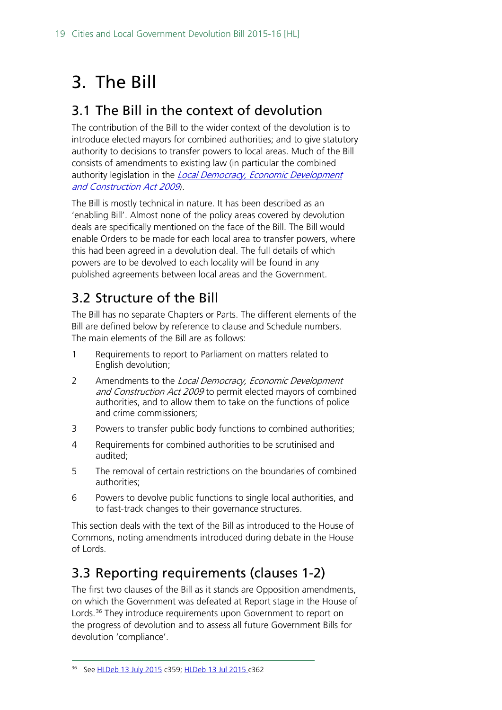# <span id="page-18-0"></span>3. The Bill

## <span id="page-18-1"></span>3.1 The Bill in the context of devolution

The contribution of the Bill to the wider context of the devolution is to introduce elected mayors for combined authorities; and to give statutory authority to decisions to transfer powers to local areas. Much of the Bill consists of amendments to existing law (in particular the combined authority legislation in the Local Democracy, Economic Development [and Construction Act 2009](http://www.legislation.gov.uk/ukpga/2009/20/contents)).

The Bill is mostly technical in nature. It has been described as an 'enabling Bill'. Almost none of the policy areas covered by devolution deals are specifically mentioned on the face of the Bill. The Bill would enable Orders to be made for each local area to transfer powers, where this had been agreed in a devolution deal. The full details of which powers are to be devolved to each locality will be found in any published agreements between local areas and the Government.

## <span id="page-18-2"></span>3.2 Structure of the Bill

The Bill has no separate Chapters or Parts. The different elements of the Bill are defined below by reference to clause and Schedule numbers. The main elements of the Bill are as follows:

- 1 Requirements to report to Parliament on matters related to English devolution;
- 2 Amendments to the Local Democracy, Economic Development and Construction Act 2009 to permit elected mayors of combined authorities, and to allow them to take on the functions of police and crime commissioners;
- 3 Powers to transfer public body functions to combined authorities;
- 4 Requirements for combined authorities to be scrutinised and audited;
- 5 The removal of certain restrictions on the boundaries of combined authorities;
- 6 Powers to devolve public functions to single local authorities, and to fast-track changes to their governance structures.

This section deals with the text of the Bill as introduced to the House of Commons, noting amendments introduced during debate in the House of Lords.

## <span id="page-18-3"></span>3.3 Reporting requirements (clauses 1-2)

The first two clauses of the Bill as it stands are Opposition amendments, on which the Government was defeated at Report stage in the House of Lords.<sup>[36](#page-18-4)</sup> They introduce requirements upon Government to report on the progress of devolution and to assess all future Government Bills for devolution 'compliance'.

<span id="page-18-4"></span> <sup>36</sup> See [HLDeb 13 July 2015](http://www.publications.parliament.uk/pa/ld201516/ldhansrd/text/150713-0001.htm%231507132001603) c359; [HLDeb 13 Jul 2015 c](http://www.publications.parliament.uk/pa/ld201516/ldhansrd/text/150713-0001.htm%231507132001603)362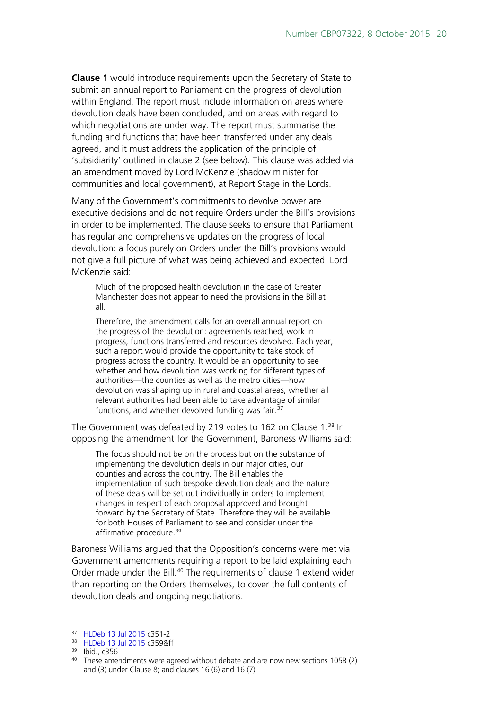**Clause 1** would introduce requirements upon the Secretary of State to submit an annual report to Parliament on the progress of devolution within England. The report must include information on areas where devolution deals have been concluded, and on areas with regard to which negotiations are under way. The report must summarise the funding and functions that have been transferred under any deals agreed, and it must address the application of the principle of 'subsidiarity' outlined in clause 2 (see below). This clause was added via an amendment moved by Lord McKenzie (shadow minister for communities and local government), at Report Stage in the Lords.

Many of the Government's commitments to devolve power are executive decisions and do not require Orders under the Bill's provisions in order to be implemented. The clause seeks to ensure that Parliament has regular and comprehensive updates on the progress of local devolution: a focus purely on Orders under the Bill's provisions would not give a full picture of what was being achieved and expected. Lord McKenzie said:

Much of the proposed health devolution in the case of Greater Manchester does not appear to need the provisions in the Bill at all.

Therefore, the amendment calls for an overall annual report on the progress of the devolution: agreements reached, work in progress, functions transferred and resources devolved. Each year, such a report would provide the opportunity to take stock of progress across the country. It would be an opportunity to see whether and how devolution was working for different types of authorities—the counties as well as the metro cities—how devolution was shaping up in rural and coastal areas, whether all relevant authorities had been able to take advantage of similar functions, and whether devolved funding was fair.<sup>[37](#page-19-0)</sup>

The Government was defeated by 219 votes to 162 on Clause 1. [38](#page-19-1) In opposing the amendment for the Government, Baroness Williams said:

The focus should not be on the process but on the substance of implementing the devolution deals in our major cities, our counties and across the country. The Bill enables the implementation of such bespoke devolution deals and the nature of these deals will be set out individually in orders to implement changes in respect of each proposal approved and brought forward by the Secretary of State. Therefore they will be available for both Houses of Parliament to see and consider under the affirmative procedure.<sup>[39](#page-19-2)</sup>

Baroness Williams argued that the Opposition's concerns were met via Government amendments requiring a report to be laid explaining each Order made under the Bill.<sup>[40](#page-19-3)</sup> The requirements of clause 1 extend wider than reporting on the Orders themselves, to cover the full contents of devolution deals and ongoing negotiations.

<span id="page-19-1"></span><span id="page-19-0"></span> <sup>37</sup> [HLDeb 13 Jul 2015](http://www.publications.parliament.uk/pa/ld201516/ldhansrd/text/150713-0001.htm%231507132001603) c351-2

<sup>38</sup> [HLDeb 13 Jul 2015](http://www.publications.parliament.uk/pa/ld201516/ldhansrd/text/150713-0001.htm%231507132001603) c359&ff

 $39$  Ibid., c356

<span id="page-19-3"></span><span id="page-19-2"></span><sup>&</sup>lt;sup>40</sup> These amendments were agreed without debate and are now new sections 105B (2) and (3) under Clause 8; and clauses 16 (6) and 16 (7)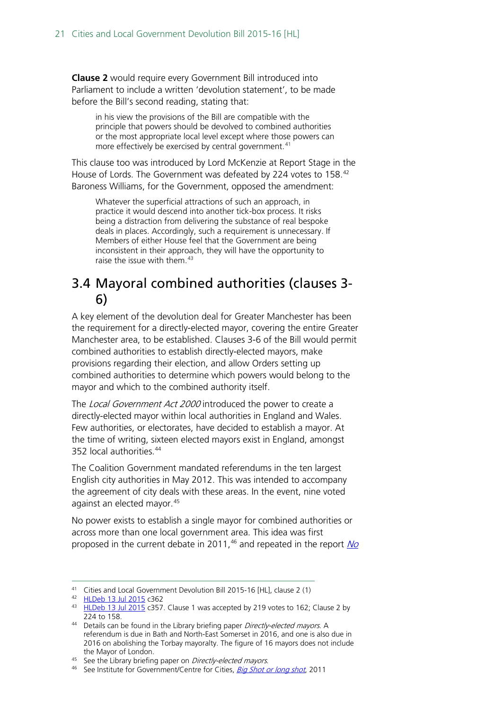**Clause 2** would require every Government Bill introduced into Parliament to include a written 'devolution statement', to be made before the Bill's second reading, stating that:

in his view the provisions of the Bill are compatible with the principle that powers should be devolved to combined authorities or the most appropriate local level except where those powers can more effectively be exercised by central government.<sup>[41](#page-20-1)</sup>

This clause too was introduced by Lord McKenzie at Report Stage in the House of Lords. The Government was defeated by 224 votes to 158.[42](#page-20-2) Baroness Williams, for the Government, opposed the amendment:

Whatever the superficial attractions of such an approach, in practice it would descend into another tick-box process. It risks being a distraction from delivering the substance of real bespoke deals in places. Accordingly, such a requirement is unnecessary. If Members of either House feel that the Government are being inconsistent in their approach, they will have the opportunity to raise the issue with them.<sup>[43](#page-20-3)</sup>

## <span id="page-20-0"></span>3.4 Mayoral combined authorities (clauses 3- 6)

A key element of the devolution deal for Greater Manchester has been the requirement for a directly-elected mayor, covering the entire Greater Manchester area, to be established. Clauses 3-6 of the Bill would permit combined authorities to establish directly-elected mayors, make provisions regarding their election, and allow Orders setting up combined authorities to determine which powers would belong to the mayor and which to the combined authority itself.

The *Local Government Act 2000* introduced the power to create a directly-elected mayor within local authorities in England and Wales. Few authorities, or electorates, have decided to establish a mayor. At the time of writing, sixteen elected mayors exist in England, amongst 352 local authorities.<sup>[44](#page-20-4)</sup>

The Coalition Government mandated referendums in the ten largest English city authorities in May 2012. This was intended to accompany the agreement of city deals with these areas. In the event, nine voted against an elected mayor.<sup>[45](#page-20-5)</sup>

No power exists to establish a single mayor for combined authorities or across more than one local government area. This idea was first proposed in the current debate in 2011,  $46$  and repeated in the report  $N_Q$ 

<span id="page-20-1"></span> <sup>41</sup> Cities and Local Government Devolution Bill 2015-16 [HL], clause 2 (1)

<span id="page-20-2"></span><sup>42</sup> [HLDeb 13 Jul 2015](http://www.publications.parliament.uk/pa/ld201516/ldhansrd/text/150713-0001.htm%231507132001603) c362

<span id="page-20-3"></span><sup>&</sup>lt;sup>43</sup> [HLDeb 13 Jul 2015](http://www.publications.parliament.uk/pa/ld201516/ldhansrd/text/150713-0001.htm%231507132001603) c357. Clause 1 was accepted by 219 votes to 162; Clause 2 by 224 to 158.

<span id="page-20-4"></span><sup>44</sup> Details can be found in the Library briefing paper Directly-elected mayors. A referendum is due in Bath and North-East Somerset in 2016, and one is also due in 2016 on abolishing the Torbay mayoralty. The figure of 16 mayors does not include the Mayor of London.

<span id="page-20-6"></span><span id="page-20-5"></span><sup>&</sup>lt;sup>45</sup> See the Library briefing paper on *Directly-elected mayors*.  $\frac{46}{100}$  See Institute for Government/Centre for Cities, *[Big Shot or long shot](http://www.instituteforgovernment.org.uk/sites/default/files/publications/Big%20Shot%20or%20Long%20Shot.pdf)*, 2011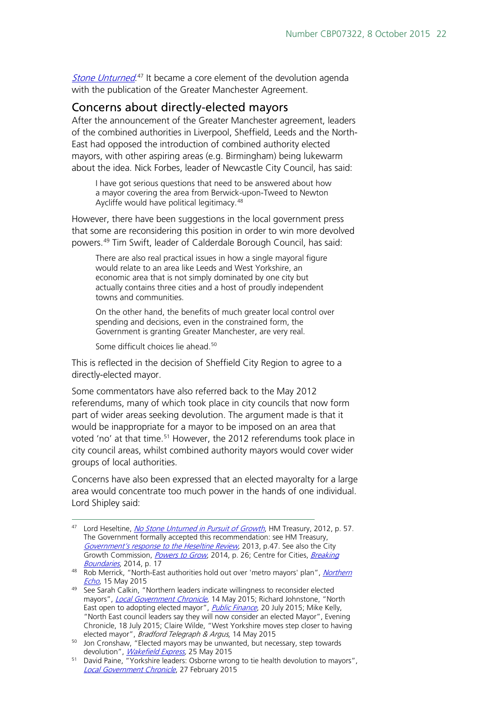[Stone Unturned](https://www.gov.uk/government/uploads/system/uploads/attachment_data/file/34648/12-1213-no-stone-unturned-in-pursuit-of-growth.pdf).<sup>[47](#page-21-1)</sup> It became a core element of the devolution agenda with the publication of the Greater Manchester Agreement.

#### <span id="page-21-0"></span>Concerns about directly-elected mayors

After the announcement of the Greater Manchester agreement, leaders of the combined authorities in Liverpool, Sheffield, Leeds and the North-East had opposed the introduction of combined authority elected mayors, with other aspiring areas (e.g. Birmingham) being lukewarm about the idea. Nick Forbes, leader of Newcastle City Council, has said:

I have got serious questions that need to be answered about how a mayor covering the area from Berwick-upon-Tweed to Newton Aycliffe would have political legitimacy.<sup>[48](#page-21-2)</sup>

However, there have been suggestions in the local government press that some are reconsidering this position in order to win more devolved powers.[49](#page-21-3) Tim Swift, leader of Calderdale Borough Council, has said:

There are also real practical issues in how a single mayoral figure would relate to an area like Leeds and West Yorkshire, an economic area that is not simply dominated by one city but actually contains three cities and a host of proudly independent towns and communities.

On the other hand, the benefits of much greater local control over spending and decisions, even in the constrained form, the Government is granting Greater Manchester, are very real.

Some difficult choices lie ahead. [50](#page-21-4)

This is reflected in the decision of Sheffield City Region to agree to a directly-elected mayor.

Some commentators have also referred back to the May 2012 referendums, many of which took place in city councils that now form part of wider areas seeking devolution. The argument made is that it would be inappropriate for a mayor to be imposed on an area that voted 'no' at that time.<sup>51</sup> However, the 2012 referendums took place in city council areas, whilst combined authority mayors would cover wider groups of local authorities.

Concerns have also been expressed that an elected mayoralty for a large area would concentrate too much power in the hands of one individual. Lord Shipley said:

<span id="page-21-1"></span><sup>&</sup>lt;sup>47</sup> Lord Heseltine, *[No Stone Unturned in Pursuit of Growth](https://www.gov.uk/government/uploads/system/uploads/attachment_data/file/34648/12-1213-no-stone-unturned-in-pursuit-of-growth.pdf)*, HM Treasury, 2012, p. 57. The Government formally accepted this recommendation: see HM Treasury, [Government's response to the Heseltine Review](http://www.hm-treasury.gov.uk/d/PU1465_Govt_response_to_Heseltine_review.pdf), 2013, p.47. See also the City Growth Commission, [Powers to Grow](http://www.citygrowthcommission.com/wp-content/uploads/2014/09/City-Growth-Commission-Powers-to-Grow.pdf), 2014, p. 26; Centre for Cities, Breaking

<span id="page-21-2"></span>Boundaries[,](http://www.centreforcities.org/assets/files/2014/14-03-27-City-Money-Breaking-Boundaries.pdf) 2014, p. 17<br><sup>48</sup> Rob Merrick, "North-East authorities hold out over 'metro mayors' plan", Northern *[Echo](http://www.thenorthernecho.co.uk/news/12952478.North_East_authorities_hold_out_over__metro_mayors__plan/)*, 15 May 2015

<span id="page-21-3"></span><sup>&</sup>lt;sup>49</sup> See Sarah Calkin, "Northern leaders indicate willingness to reconsider elected mayors", *[Local Government Chronicle](http://www.lgcplus.com/news/devolution/northern-cities-indicate-willingness-to-reconsider-elected-mayors/5085024.article)*, 14 May 2015; Richard Johnstone, "North East open to adopting elected mayor", *[Public Finance](http://www.publicfinance.co.uk/news/2015/07/north-east-open-adopting-elected-mayor)*, 20 July 2015; Mike Kelly, "North East council leaders say they will now consider an elected Mayor"[, Evening](http://www.chroniclelive.co.uk/news/north-east-news/north-east-council-leaders-say-9682399)  [Chronicle,](http://www.chroniclelive.co.uk/news/north-east-news/north-east-council-leaders-say-9682399) 18 July 2015; Claire Wilde, "West Yorkshire moves step closer to having elected mayor", *Bradford Telegraph & Argus*, 14 May 2015

<span id="page-21-4"></span><sup>&</sup>lt;sup>50</sup> Jon Cronshaw, "Elected mayors may be unwanted, but necessary, step towards devolution", *Wakefield Express*, 25 May 2015

<span id="page-21-5"></span><sup>51</sup> David Paine, "Yorkshire leaders: Osborne wrong to tie health devolution to mayors", [Local Government Chronicle](http://www.lgcplus.com/news/devolution/yorkshire-leaders-osborne-wrong-to-tie-health-devolution-to-mayors/5082830.article), 27 February 2015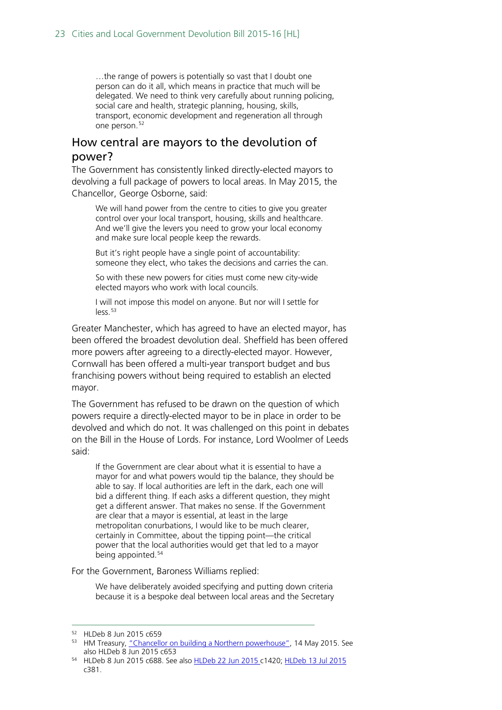…the range of powers is potentially so vast that I doubt one person can do it all, which means in practice that much will be delegated. We need to think very carefully about running policing, social care and health, strategic planning, housing, skills, transport, economic development and regeneration all through one person.<sup>[52](#page-22-1)</sup>

### <span id="page-22-0"></span>How central are mayors to the devolution of power?

The Government has consistently linked directly-elected mayors to devolving a full package of powers to local areas. In May 2015, the Chancellor, George Osborne, said:

We will hand power from the centre to cities to give you greater control over your local transport, housing, skills and healthcare. And we'll give the levers you need to grow your local economy and make sure local people keep the rewards.

But it's right people have a single point of accountability: someone they elect, who takes the decisions and carries the can.

So with these new powers for cities must come new city-wide elected mayors who work with local councils.

I will not impose this model on anyone. But nor will I settle for less.<sup>[53](#page-22-2)</sup>

Greater Manchester, which has agreed to have an elected mayor, has been offered the broadest devolution deal. Sheffield has been offered more powers after agreeing to a directly-elected mayor. However, Cornwall has been offered a multi-year transport budget and bus franchising powers without being required to establish an elected mayor.

The Government has refused to be drawn on the question of which powers require a directly-elected mayor to be in place in order to be devolved and which do not. It was challenged on this point in debates on the Bill in the House of Lords. For instance, Lord Woolmer of Leeds said:

If the Government are clear about what it is essential to have a mayor for and what powers would tip the balance, they should be able to say. If local authorities are left in the dark, each one will bid a different thing. If each asks a different question, they might get a different answer. That makes no sense. If the Government are clear that a mayor is essential, at least in the large metropolitan conurbations, I would like to be much clearer, certainly in Committee, about the tipping point—the critical power that the local authorities would get that led to a mayor being appointed.<sup>[54](#page-22-3)</sup>

For the Government, Baroness Williams replied:

We have deliberately avoided specifying and putting down criteria because it is a bespoke deal between local areas and the Secretary

<span id="page-22-1"></span> <sup>52</sup> HLDeb 8 Jun 2015 c659

<span id="page-22-2"></span><sup>&</sup>lt;sup>53</sup> HM Treasury, ["Chancellor on building a Northern powerhouse",](https://www.gov.uk/government/speeches/chancellor-on-building-a-northern-powerhouse) 14 May 2015. See also HLDeb 8 Jun 2015 c653

<span id="page-22-3"></span><sup>54</sup> HLDeb 8 Jun 2015 c688. See also [HLDeb 22 Jun 2015 c](http://www.publications.parliament.uk/pa/ld201516/ldhansrd/text/150622-0001.htm%231506229000431)1420; [HLDeb 13 Jul 2015](http://www.publications.parliament.uk/pa/ld201516/ldhansrd/text/150713-0001.htm%231507132001603)  c381.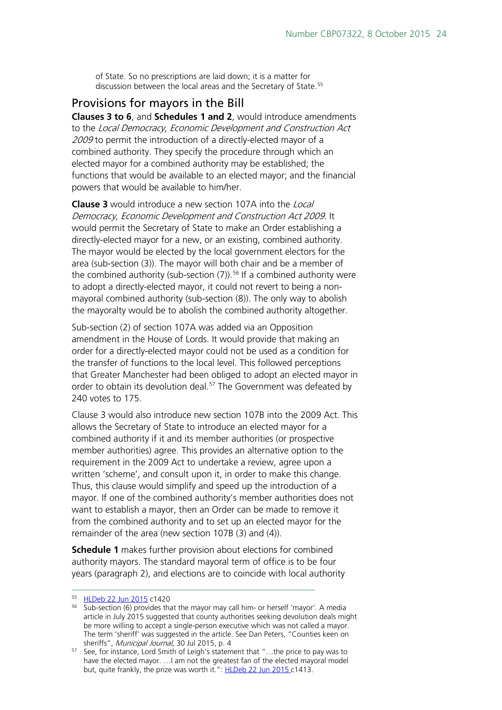of State. So no prescriptions are laid down; it is a matter for discussion between the local areas and the Secretary of State.<sup>[55](#page-23-1)</sup>

### <span id="page-23-0"></span>Provisions for mayors in the Bill

**Clauses 3 to 6**, and **Schedules 1 and 2**, would introduce amendments to the Local Democracy, Economic Development and Construction Act 2009 to permit the introduction of a directly-elected mayor of a combined authority. They specify the procedure through which an elected mayor for a combined authority may be established; the functions that would be available to an elected mayor; and the financial powers that would be available to him/her.

**Clause 3** would introduce a new section 107A into the Local Democracy, Economic Development and Construction Act 2009. It would permit the Secretary of State to make an Order establishing a directly-elected mayor for a new, or an existing, combined authority. The mayor would be elected by the local government electors for the area (sub-section (3)). The mayor will both chair and be a member of the combined authority (sub-section (7)). [56](#page-23-2) If a combined authority were to adopt a directly-elected mayor, it could not revert to being a nonmayoral combined authority (sub-section (8)). The only way to abolish the mayoralty would be to abolish the combined authority altogether.

Sub-section (2) of section 107A was added via an Opposition amendment in the House of Lords. It would provide that making an order for a directly-elected mayor could not be used as a condition for the transfer of functions to the local level. This followed perceptions that Greater Manchester had been obliged to adopt an elected mayor in order to obtain its devolution deal.<sup>[57](#page-23-3)</sup> The Government was defeated by 240 votes to 175.

Clause 3 would also introduce new section 107B into the 2009 Act. This allows the Secretary of State to introduce an elected mayor for a combined authority if it and its member authorities (or prospective member authorities) agree. This provides an alternative option to the requirement in the 2009 Act to undertake a review, agree upon a written 'scheme', and consult upon it, in order to make this change. Thus, this clause would simplify and speed up the introduction of a mayor. If one of the combined authority's member authorities does not want to establish a mayor, then an Order can be made to remove it from the combined authority and to set up an elected mayor for the remainder of the area (new section 107B (3) and (4)).

**Schedule 1** makes further provision about elections for combined authority mayors. The standard mayoral term of office is to be four years (paragraph 2), and elections are to coincide with local authority

<span id="page-23-1"></span> <sup>55</sup> [HLDeb 22 Jun 2015](http://www.publications.parliament.uk/pa/ld201516/ldhansrd/text/150622-0002.htm) c1420

<span id="page-23-2"></span><sup>56</sup> Sub-section (6) provides that the mayor may call him- or herself 'mayor'. A media article in July 2015 suggested that county authorities seeking devolution deals might be more willing to accept a single-person executive which was not called a mayor. The term 'sheriff' was suggested in the article. See Dan Peters, "Counties keen on sheriffs", Municipal Journal, 30 Jul 2015, p. 4

<span id="page-23-3"></span> $57$  See, for instance, Lord Smith of Leigh's statement that "... the price to pay was to have the elected mayor. …I am not the greatest fan of the elected mayoral model but, quite frankly, the prize was worth it.": [HLDeb 22 Jun 2015 c](http://www.publications.parliament.uk/pa/ld201516/ldhansrd/text/150622-0002.htm%2315062212000058)1413.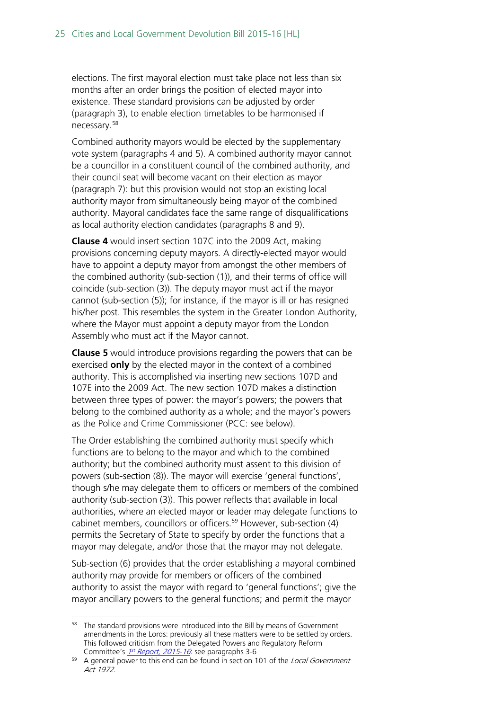elections. The first mayoral election must take place not less than six months after an order brings the position of elected mayor into existence. These standard provisions can be adjusted by order (paragraph 3), to enable election timetables to be harmonised if necessary. [58](#page-24-0)

Combined authority mayors would be elected by the supplementary vote system (paragraphs 4 and 5). A combined authority mayor cannot be a councillor in a constituent council of the combined authority, and their council seat will become vacant on their election as mayor (paragraph 7): but this provision would not stop an existing local authority mayor from simultaneously being mayor of the combined authority. Mayoral candidates face the same range of disqualifications as local authority election candidates (paragraphs 8 and 9).

**Clause 4** would insert section 107C into the 2009 Act, making provisions concerning deputy mayors. A directly-elected mayor would have to appoint a deputy mayor from amongst the other members of the combined authority (sub-section (1)), and their terms of office will coincide (sub-section (3)). The deputy mayor must act if the mayor cannot (sub-section (5)); for instance, if the mayor is ill or has resigned his/her post. This resembles the system in the Greater London Authority, where the Mayor must appoint a deputy mayor from the London Assembly who must act if the Mayor cannot.

**Clause 5** would introduce provisions regarding the powers that can be exercised **only** by the elected mayor in the context of a combined authority. This is accomplished via inserting new sections 107D and 107E into the 2009 Act. The new section 107D makes a distinction between three types of power: the mayor's powers; the powers that belong to the combined authority as a whole; and the mayor's powers as the Police and Crime Commissioner (PCC: see below).

The Order establishing the combined authority must specify which functions are to belong to the mayor and which to the combined authority; but the combined authority must assent to this division of powers (sub-section (8)). The mayor will exercise 'general functions', though s/he may delegate them to officers or members of the combined authority (sub-section (3)). This power reflects that available in local authorities, where an elected mayor or leader may delegate functions to cabinet members, councillors or officers.<sup>[59](#page-24-1)</sup> However, sub-section (4) permits the Secretary of State to specify by order the functions that a mayor may delegate, and/or those that the mayor may not delegate.

Sub-section (6) provides that the order establishing a mayoral combined authority may provide for members or officers of the combined authority to assist the mayor with regard to 'general functions'; give the mayor ancillary powers to the general functions; and permit the mayor

<span id="page-24-0"></span><sup>&</sup>lt;sup>58</sup> The standard provisions were introduced into the Bill by means of Government amendments in the Lords: previously all these matters were to be settled by orders. This followed criticism from the Delegated Powers and Regulatory Reform Committee's 1st [Report, 2015-16](http://www.publications.parliament.uk/pa/ld201516/ldselect/lddelreg/8/8.pdf): see paragraphs 3-6

<span id="page-24-1"></span><sup>&</sup>lt;sup>59</sup> A general power to this end can be found in section 101 of the Local Government Act 1972.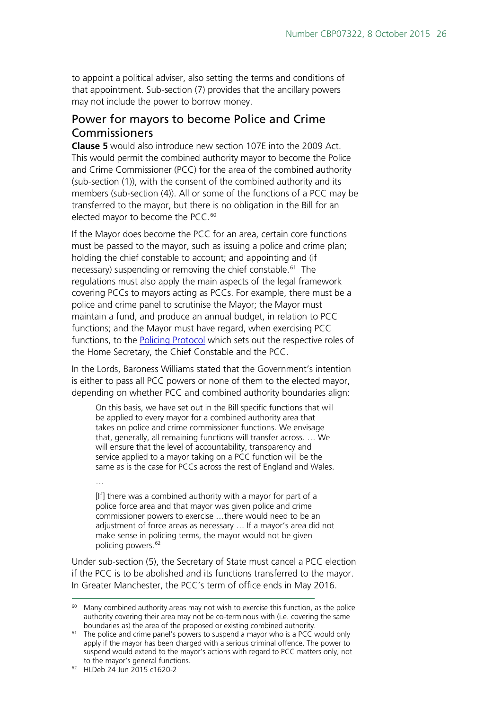to appoint a political adviser, also setting the terms and conditions of that appointment. Sub-section (7) provides that the ancillary powers may not include the power to borrow money.

### <span id="page-25-0"></span>Power for mayors to become Police and Crime Commissioners

**Clause 5** would also introduce new section 107E into the 2009 Act. This would permit the combined authority mayor to become the Police and Crime Commissioner (PCC) for the area of the combined authority (sub-section (1)), with the consent of the combined authority and its members (sub-section (4)). All or some of the functions of a PCC may be transferred to the mayor, but there is no obligation in the Bill for an elected mayor to become the PCC. [60](#page-25-1)

If the Mayor does become the PCC for an area, certain core functions must be passed to the mayor, such as issuing a police and crime plan; holding the chief constable to account; and appointing and (if necessary) suspending or removing the chief constable.<sup>[61](#page-25-2)</sup> The regulations must also apply the main aspects of the legal framework covering PCCs to mayors acting as PCCs. For example, there must be a police and crime panel to scrutinise the Mayor; the Mayor must maintain a fund, and produce an annual budget, in relation to PCC functions; and the Mayor must have regard, when exercising PCC functions, to the [Policing Protocol](http://www.legislation.gov.uk/uksi/2011/2744/schedule/made) which sets out the respective roles of the Home Secretary, the Chief Constable and the PCC.

In the Lords, Baroness Williams stated that the Government's intention is either to pass all PCC powers or none of them to the elected mayor, depending on whether PCC and combined authority boundaries align:

On this basis, we have set out in the Bill specific functions that will be applied to every mayor for a combined authority area that takes on police and crime commissioner functions. We envisage that, generally, all remaining functions will transfer across. … We will ensure that the level of accountability, transparency and service applied to a mayor taking on a PCC function will be the same as is the case for PCCs across the rest of England and Wales.

… [If] there was a combined authority with a mayor for part of a police force area and that mayor was given police and crime commissioner powers to exercise …there would need to be an adjustment of force areas as necessary … If a mayor's area did not make sense in policing terms, the mayor would not be given policing powers.<sup>[62](#page-25-3)</sup>

Under sub-section (5), the Secretary of State must cancel a PCC election if the PCC is to be abolished and its functions transferred to the mayor. In Greater Manchester, the PCC's term of office ends in May 2016.

<span id="page-25-3"></span>62 HLDeb 24 Jun 2015 c1620-2

<span id="page-25-1"></span> $60$  Many combined authority areas may not wish to exercise this function, as the police authority covering their area may not be co-terminous with (i.e. covering the same boundaries as) the area of the proposed or existing combined authority.

<span id="page-25-2"></span><sup>&</sup>lt;sup>61</sup> The police and crime panel's powers to suspend a mayor who is a PCC would only apply if the mayor has been charged with a serious criminal offence. The power to suspend would extend to the mayor's actions with regard to PCC matters only, not to the mayor's general functions.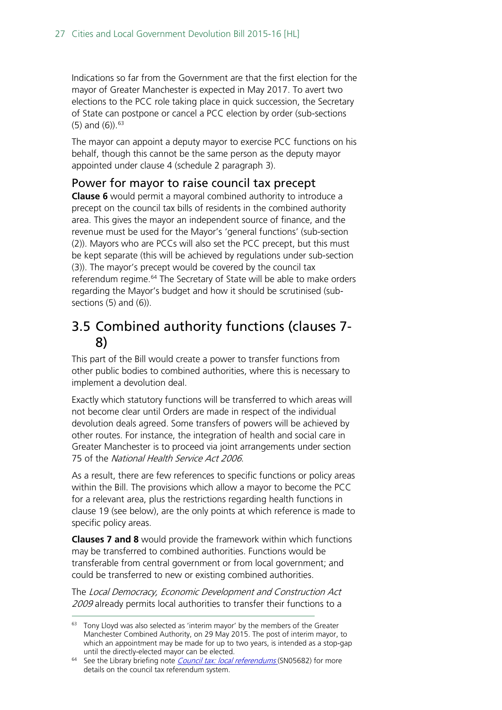Indications so far from the Government are that the first election for the mayor of Greater Manchester is expected in May 2017. To avert two elections to the PCC role taking place in quick succession, the Secretary of State can postpone or cancel a PCC election by order (sub-sections (5) and (6)). [63](#page-26-2)

The mayor can appoint a deputy mayor to exercise PCC functions on his behalf, though this cannot be the same person as the deputy mayor appointed under clause 4 (schedule 2 paragraph 3).

### <span id="page-26-0"></span>Power for mayor to raise council tax precept

**Clause 6** would permit a mayoral combined authority to introduce a precept on the council tax bills of residents in the combined authority area. This gives the mayor an independent source of finance, and the revenue must be used for the Mayor's 'general functions' (sub-section (2)). Mayors who are PCCs will also set the PCC precept, but this must be kept separate (this will be achieved by regulations under sub-section (3)). The mayor's precept would be covered by the council tax referendum regime.<sup>[64](#page-26-3)</sup> The Secretary of State will be able to make orders regarding the Mayor's budget and how it should be scrutinised (subsections (5) and (6)).

## <span id="page-26-1"></span>3.5 Combined authority functions (clauses 7- 8)

This part of the Bill would create a power to transfer functions from other public bodies to combined authorities, where this is necessary to implement a devolution deal.

Exactly which statutory functions will be transferred to which areas will not become clear until Orders are made in respect of the individual devolution deals agreed. Some transfers of powers will be achieved by other routes. For instance, the integration of health and social care in Greater Manchester is to proceed via joint arrangements under section 75 of the National Health Service Act 2006.

As a result, there are few references to specific functions or policy areas within the Bill. The provisions which allow a mayor to become the PCC for a relevant area, plus the restrictions regarding health functions in clause 19 (see below), are the only points at which reference is made to specific policy areas.

**Clauses 7 and 8** would provide the framework within which functions may be transferred to combined authorities. Functions would be transferable from central government or from local government; and could be transferred to new or existing combined authorities.

The Local Democracy, Economic Development and Construction Act 2009 already permits local authorities to transfer their functions to a

<span id="page-26-2"></span><sup>63</sup> Tony Lloyd was also selected as 'interim mayor' by the members of the Greater Manchester Combined Authority, on 29 May 2015. The post of interim mayor, to which an appointment may be made for up to two years, is intended as a stop-gap until the directly-elected mayor can be elected.

<span id="page-26-3"></span><sup>&</sup>lt;sup>64</sup> See the Library briefing note *[Council tax: local referendums](http://researchbriefings.parliament.uk/ResearchBriefing/Summary/SN05682)* (SN05682) for more details on the council tax referendum system.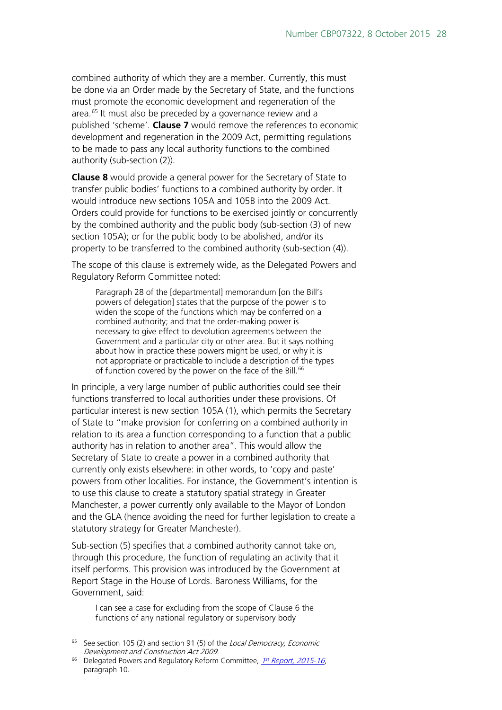combined authority of which they are a member. Currently, this must be done via an Order made by the Secretary of State, and the functions must promote the economic development and regeneration of the area.<sup>[65](#page-27-0)</sup> It must also be preceded by a governance review and a published 'scheme'. **Clause 7** would remove the references to economic development and regeneration in the 2009 Act, permitting regulations to be made to pass any local authority functions to the combined authority (sub-section (2)).

**Clause 8** would provide a general power for the Secretary of State to transfer public bodies' functions to a combined authority by order. It would introduce new sections 105A and 105B into the 2009 Act. Orders could provide for functions to be exercised jointly or concurrently by the combined authority and the public body (sub-section (3) of new section 105A); or for the public body to be abolished, and/or its property to be transferred to the combined authority (sub-section (4)).

The scope of this clause is extremely wide, as the Delegated Powers and Regulatory Reform Committee noted:

Paragraph 28 of the [departmental] memorandum [on the Bill's powers of delegation] states that the purpose of the power is to widen the scope of the functions which may be conferred on a combined authority; and that the order-making power is necessary to give effect to devolution agreements between the Government and a particular city or other area. But it says nothing about how in practice these powers might be used, or why it is not appropriate or practicable to include a description of the types of function covered by the power on the face of the Bill.<sup>[66](#page-27-1)</sup>

In principle, a very large number of public authorities could see their functions transferred to local authorities under these provisions. Of particular interest is new section 105A (1), which permits the Secretary of State to "make provision for conferring on a combined authority in relation to its area a function corresponding to a function that a public authority has in relation to another area". This would allow the Secretary of State to create a power in a combined authority that currently only exists elsewhere: in other words, to 'copy and paste' powers from other localities. For instance, the Government's intention is to use this clause to create a statutory spatial strategy in Greater Manchester, a power currently only available to the Mayor of London and the GLA (hence avoiding the need for further legislation to create a statutory strategy for Greater Manchester).

Sub-section (5) specifies that a combined authority cannot take on, through this procedure, the function of regulating an activity that it itself performs. This provision was introduced by the Government at Report Stage in the House of Lords. Baroness Williams, for the Government, said:

I can see a case for excluding from the scope of Clause 6 the functions of any national regulatory or supervisory body

<span id="page-27-0"></span> $65$  See section 105 (2) and section 91 (5) of the *Local Democracy, Economic* Development and Construction Act 2009.

<span id="page-27-1"></span><sup>&</sup>lt;sup>66</sup> Delegated Powers and Regulatory Reform Committee,  $1<sup>st</sup>$  [Report, 2015-16](http://www.publications.parliament.uk/pa/ld201516/ldselect/lddelreg/8/8.pdf), paragraph 10.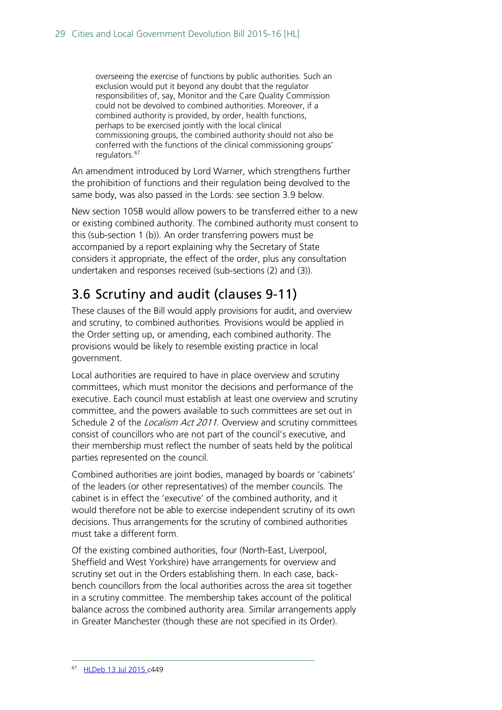overseeing the exercise of functions by public authorities. Such an exclusion would put it beyond any doubt that the regulator responsibilities of, say, Monitor and the Care Quality Commission could not be devolved to combined authorities. Moreover, if a combined authority is provided, by order, health functions, perhaps to be exercised jointly with the local clinical commissioning groups, the combined authority should not also be conferred with the functions of the clinical commissioning groups' regulators.<sup>[67](#page-28-1)</sup>

An amendment introduced by Lord Warner, which strengthens further the prohibition of functions and their regulation being devolved to the same body, was also passed in the Lords: see section 3.9 below.

New section 105B would allow powers to be transferred either to a new or existing combined authority. The combined authority must consent to this (sub-section 1 (b)). An order transferring powers must be accompanied by a report explaining why the Secretary of State considers it appropriate, the effect of the order, plus any consultation undertaken and responses received (sub-sections (2) and (3)).

## <span id="page-28-0"></span>3.6 Scrutiny and audit (clauses 9-11)

These clauses of the Bill would apply provisions for audit, and overview and scrutiny, to combined authorities. Provisions would be applied in the Order setting up, or amending, each combined authority. The provisions would be likely to resemble existing practice in local government.

Local authorities are required to have in place overview and scrutiny committees, which must monitor the decisions and performance of the executive. Each council must establish at least one overview and scrutiny committee, and the powers available to such committees are set out in Schedule 2 of the *Localism Act 2011*. Overview and scrutiny committees consist of councillors who are not part of the council's executive, and their membership must reflect the number of seats held by the political parties represented on the council.

Combined authorities are joint bodies, managed by boards or 'cabinets' of the leaders (or other representatives) of the member councils. The cabinet is in effect the 'executive' of the combined authority, and it would therefore not be able to exercise independent scrutiny of its own decisions. Thus arrangements for the scrutiny of combined authorities must take a different form.

<span id="page-28-1"></span>Of the existing combined authorities, four (North-East, Liverpool, Sheffield and West Yorkshire) have arrangements for overview and scrutiny set out in the Orders establishing them. In each case, backbench councillors from the local authorities across the area sit together in a scrutiny committee. The membership takes account of the political balance across the combined authority area. Similar arrangements apply in Greater Manchester (though these are not specified in its Order).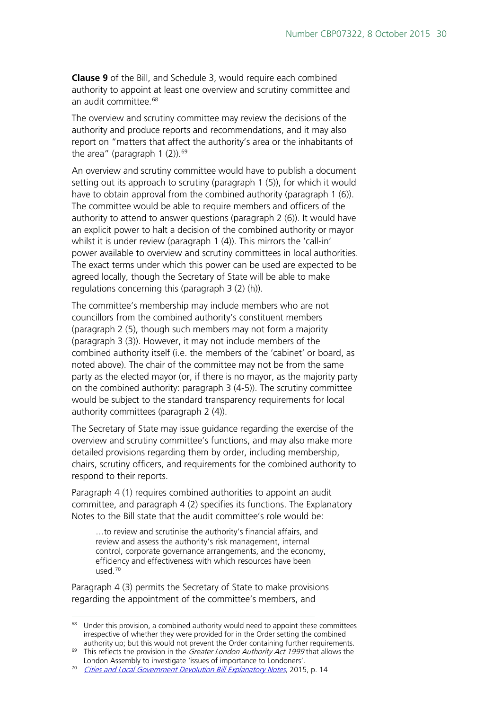**Clause 9** of the Bill, and Schedule 3, would require each combined authority to appoint at least one overview and scrutiny committee and an audit committee.<sup>[68](#page-29-0)</sup>

The overview and scrutiny committee may review the decisions of the authority and produce reports and recommendations, and it may also report on "matters that affect the authority's area or the inhabitants of the area" (paragraph  $1$  (2)).<sup>[69](#page-29-1)</sup>

An overview and scrutiny committee would have to publish a document setting out its approach to scrutiny (paragraph 1 (5)), for which it would have to obtain approval from the combined authority (paragraph 1 (6)). The committee would be able to require members and officers of the authority to attend to answer questions (paragraph 2 (6)). It would have an explicit power to halt a decision of the combined authority or mayor whilst it is under review (paragraph 1 (4)). This mirrors the 'call-in' power available to overview and scrutiny committees in local authorities. The exact terms under which this power can be used are expected to be agreed locally, though the Secretary of State will be able to make regulations concerning this (paragraph 3 (2) (h)).

The committee's membership may include members who are not councillors from the combined authority's constituent members (paragraph 2 (5), though such members may not form a majority (paragraph 3 (3)). However, it may not include members of the combined authority itself (i.e. the members of the 'cabinet' or board, as noted above). The chair of the committee may not be from the same party as the elected mayor (or, if there is no mayor, as the majority party on the combined authority: paragraph 3 (4-5)). The scrutiny committee would be subject to the standard transparency requirements for local authority committees (paragraph 2 (4)).

The Secretary of State may issue guidance regarding the exercise of the overview and scrutiny committee's functions, and may also make more detailed provisions regarding them by order, including membership, chairs, scrutiny officers, and requirements for the combined authority to respond to their reports.

Paragraph 4 (1) requires combined authorities to appoint an audit committee, and paragraph 4 (2) specifies its functions. The Explanatory Notes to the Bill state that the audit committee's role would be:

…to review and scrutinise the authority's financial affairs, and review and assess the authority's risk management, internal control, corporate governance arrangements, and the economy, efficiency and effectiveness with which resources have been used.[70](#page-29-2)

Paragraph 4 (3) permits the Secretary of State to make provisions regarding the appointment of the committee's members, and

<span id="page-29-0"></span> $68$  Under this provision, a combined authority would need to appoint these committees irrespective of whether they were provided for in the Order setting the combined authority up; but this would not prevent the Order containing further requirements.

<span id="page-29-1"></span><sup>&</sup>lt;sup>69</sup> This reflects the provision in the *Greater London Authority Act 1999* that allows the London Assembly to investigate 'issues of importance to Londoners'.

<span id="page-29-2"></span><sup>&</sup>lt;sup>70</sup> [Cities and Local Government Devolution Bill Explanatory Notes](http://www.publications.parliament.uk/pa/bills/cbill/2015-2016/0064/en/16064en.pdf), 2015, p. 14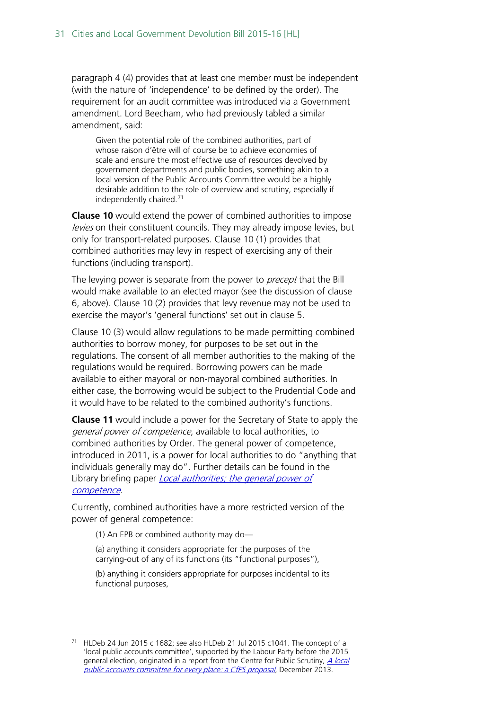paragraph 4 (4) provides that at least one member must be independent (with the nature of 'independence' to be defined by the order). The requirement for an audit committee was introduced via a Government amendment. Lord Beecham, who had previously tabled a similar amendment, said:

Given the potential role of the combined authorities, part of whose raison d'être will of course be to achieve economies of scale and ensure the most effective use of resources devolved by government departments and public bodies, something akin to a local version of the Public Accounts Committee would be a highly desirable addition to the role of overview and scrutiny, especially if independently chaired.<sup>[71](#page-30-0)</sup>

**Clause 10** would extend the power of combined authorities to impose levies on their constituent councils. They may already impose levies, but only for transport-related purposes. Clause 10 (1) provides that combined authorities may levy in respect of exercising any of their functions (including transport).

The levying power is separate from the power to *precept* that the Bill would make available to an elected mayor (see the discussion of clause 6, above). Clause 10 (2) provides that levy revenue may not be used to exercise the mayor's 'general functions' set out in clause 5.

Clause 10 (3) would allow regulations to be made permitting combined authorities to borrow money, for purposes to be set out in the regulations. The consent of all member authorities to the making of the regulations would be required. Borrowing powers can be made available to either mayoral or non-mayoral combined authorities. In either case, the borrowing would be subject to the Prudential Code and it would have to be related to the combined authority's functions.

**Clause 11** would include a power for the Secretary of State to apply the general power of competence, available to local authorities, to combined authorities by Order. The general power of competence, introduced in 2011, is a power for local authorities to do "anything that individuals generally may do". Further details can be found in the Library briefing paper *Local authorities; the general power of* [competence.](http://researchbriefings.parliament.uk/ResearchBriefing/Summary/SN05687)

Currently, combined authorities have a more restricted version of the power of general competence:

(1) An EPB or combined authority may do—

(a) anything it considers appropriate for the purposes of the carrying-out of any of its functions (its "functional purposes"),

(b) anything it considers appropriate for purposes incidental to its functional purposes,

<span id="page-30-0"></span><sup>&</sup>lt;sup>71</sup> HLDeb 24 Jun 2015 c 1682; see also HLDeb 21 Jul 2015 c1041. The concept of a 'local public accounts committee', supported by the Labour Party before the 2015 general election, originated in a report from the Centre for Public Scrutiny, A local [public accounts committee for every place: a CfPS proposal](http://www.cfps.org.uk/publications?item=11575&offset=0), December 2013.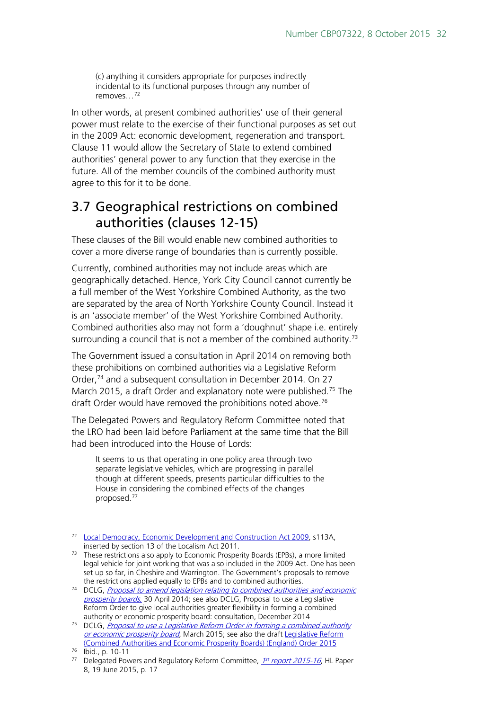(c) anything it considers appropriate for purposes indirectly incidental to its functional purposes through any number of removes…[72](#page-31-1)

In other words, at present combined authorities' use of their general power must relate to the exercise of their functional purposes as set out in the 2009 Act: economic development, regeneration and transport. Clause 11 would allow the Secretary of State to extend combined authorities' general power to any function that they exercise in the future. All of the member councils of the combined authority must agree to this for it to be done.

### <span id="page-31-0"></span>3.7 Geographical restrictions on combined authorities (clauses 12-15)

These clauses of the Bill would enable new combined authorities to cover a more diverse range of boundaries than is currently possible.

Currently, combined authorities may not include areas which are geographically detached. Hence, York City Council cannot currently be a full member of the West Yorkshire Combined Authority, as the two are separated by the area of North Yorkshire County Council. Instead it is an 'associate member' of the West Yorkshire Combined Authority. Combined authorities also may not form a 'doughnut' shape i.e. entirely surrounding a council that is not a member of the combined authority.<sup>73</sup>

The Government issued a consultation in April 2014 on removing both these prohibitions on combined authorities via a Legislative Reform Order,<sup>[74](#page-31-3)</sup> and a subsequent consultation in December 2014. On 27 March 2015, a draft Order and explanatory note were published.<sup>[75](#page-31-4)</sup> The draft Order would have removed the prohibitions noted above.<sup>76</sup>

The Delegated Powers and Regulatory Reform Committee noted that the LRO had been laid before Parliament at the same time that the Bill had been introduced into the House of Lords:

It seems to us that operating in one policy area through two separate legislative vehicles, which are progressing in parallel though at different speeds, presents particular difficulties to the House in considering the combined effects of the changes proposed.[77](#page-31-6)

<span id="page-31-1"></span> <sup>72</sup> [Local Democracy, Economic Development and Construction Act 2009,](http://www.legislation.gov.uk/ukpga/2009/20/contents) s113A, inserted by section 13 of the Localism Act 2011.

<span id="page-31-2"></span> $73$  These restrictions also apply to Economic Prosperity Boards (EPBs), a more limited legal vehicle for joint working that was also included in the 2009 Act. One has been set up so far, in Cheshire and Warrington. The Government's proposals to remove

<span id="page-31-3"></span>the restrictions applied equally to EPBs and to combined authorities.<br><sup>74</sup> DCLG, *Proposal to amend legislation relating to combined authorities and economic* [prosperity boards](https://www.gov.uk/government/consultations/proposals-to-amend-legislation-relating-to-combined-authorities-and-economic-prosperity-boards), 30 April 2014; see also DCLG, Proposal to use a Legislative [Reform Order to give local authorities greater flexibility in forming a combined](https://www.gov.uk/government/consultations/proposal-to-use-a-legislative-reform-order-in-forming-a-combined-authority-or-economic-prosperity-board)  [authority or economic prosperity board: consultation,](https://www.gov.uk/government/consultations/proposal-to-use-a-legislative-reform-order-in-forming-a-combined-authority-or-economic-prosperity-board) December 2014

<span id="page-31-4"></span><sup>&</sup>lt;sup>75</sup> DCLG, *Proposal to use a Legislative Reform Order in forming a combined authority* [or economic prosperity board,](https://www.gov.uk/government/consultations/proposal-to-use-a-legislative-reform-order-in-forming-a-combined-authority-or-economic-prosperity-board) March 2015; see also the draft Legislative Reform [\(Combined Authorities and Economic Prosperity Boards\) \(England\) Order 2015](http://www.legislation.gov.uk/ukdsi/2015/9780111135419/contents)

<span id="page-31-5"></span> $76$  Ibid., p. 10-11

<span id="page-31-6"></span><sup>&</sup>lt;sup>77</sup> Delegated Powers and Regulatory Reform Committee,  $1^{st}$  [report 2015-16](http://www.publications.parliament.uk/pa/ld201516/ldselect/lddelreg/8/8.pdf), HL Paper 8, 19 June 2015, p. 17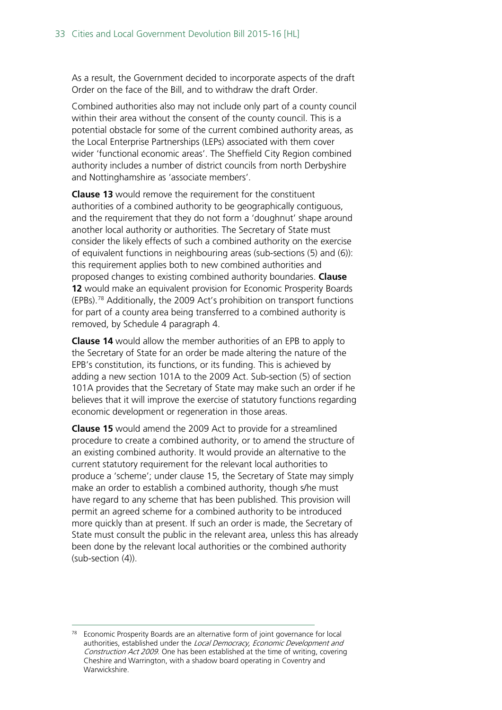As a result, the Government decided to incorporate aspects of the draft Order on the face of the Bill, and to withdraw the draft Order.

Combined authorities also may not include only part of a county council within their area without the consent of the county council. This is a potential obstacle for some of the current combined authority areas, as the Local Enterprise Partnerships (LEPs) associated with them cover wider 'functional economic areas'. The Sheffield City Region combined authority includes a number of district councils from north Derbyshire and Nottinghamshire as 'associate members'.

**Clause 13** would remove the requirement for the constituent authorities of a combined authority to be geographically contiguous, and the requirement that they do not form a 'doughnut' shape around another local authority or authorities. The Secretary of State must consider the likely effects of such a combined authority on the exercise of equivalent functions in neighbouring areas (sub-sections (5) and (6)): this requirement applies both to new combined authorities and proposed changes to existing combined authority boundaries. **Clause 12** would make an equivalent provision for Economic Prosperity Boards (EPBs). [78](#page-32-0) Additionally, the 2009 Act's prohibition on transport functions for part of a county area being transferred to a combined authority is removed, by Schedule 4 paragraph 4.

**Clause 14** would allow the member authorities of an EPB to apply to the Secretary of State for an order be made altering the nature of the EPB's constitution, its functions, or its funding. This is achieved by adding a new section 101A to the 2009 Act. Sub-section (5) of section 101A provides that the Secretary of State may make such an order if he believes that it will improve the exercise of statutory functions regarding economic development or regeneration in those areas.

**Clause 15** would amend the 2009 Act to provide for a streamlined procedure to create a combined authority, or to amend the structure of an existing combined authority. It would provide an alternative to the current statutory requirement for the relevant local authorities to produce a 'scheme'; under clause 15, the Secretary of State may simply make an order to establish a combined authority, though s/he must have regard to any scheme that has been published. This provision will permit an agreed scheme for a combined authority to be introduced more quickly than at present. If such an order is made, the Secretary of State must consult the public in the relevant area, unless this has already been done by the relevant local authorities or the combined authority (sub-section (4)).

<span id="page-32-0"></span> <sup>78</sup> Economic Prosperity Boards are an alternative form of joint governance for local authorities, established under the Local Democracy, Economic Development and Construction Act 2009. One has been established at the time of writing, covering Cheshire and Warrington, with a shadow board operating in Coventry and Warwickshire.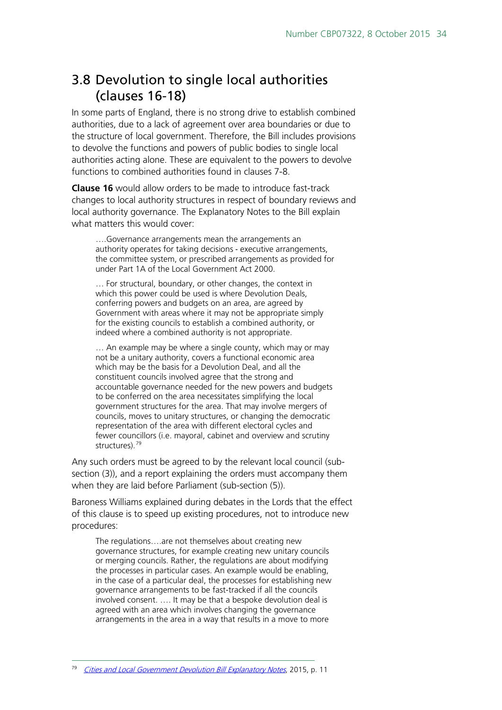## <span id="page-33-0"></span>3.8 Devolution to single local authorities (clauses 16-18)

In some parts of England, there is no strong drive to establish combined authorities, due to a lack of agreement over area boundaries or due to the structure of local government. Therefore, the Bill includes provisions to devolve the functions and powers of public bodies to single local authorities acting alone. These are equivalent to the powers to devolve functions to combined authorities found in clauses 7-8.

**Clause 16** would allow orders to be made to introduce fast-track changes to local authority structures in respect of boundary reviews and local authority governance. The Explanatory Notes to the Bill explain what matters this would cover:

….Governance arrangements mean the arrangements an authority operates for taking decisions ‐ executive arrangements, the committee system, or prescribed arrangements as provided for under Part 1A of the Local Government Act 2000.

… For structural, boundary, or other changes, the context in which this power could be used is where Devolution Deals. conferring powers and budgets on an area, are agreed by Government with areas where it may not be appropriate simply for the existing councils to establish a combined authority, or indeed where a combined authority is not appropriate.

… An example may be where a single county, which may or may not be a unitary authority, covers a functional economic area which may be the basis for a Devolution Deal, and all the constituent councils involved agree that the strong and accountable governance needed for the new powers and budgets to be conferred on the area necessitates simplifying the local government structures for the area. That may involve mergers of councils, moves to unitary structures, or changing the democratic representation of the area with different electoral cycles and fewer councillors (i.e. mayoral, cabinet and overview and scrutiny structures).<sup>[79](#page-33-1)</sup>

Any such orders must be agreed to by the relevant local council (subsection (3)), and a report explaining the orders must accompany them when they are laid before Parliament (sub-section (5)).

Baroness Williams explained during debates in the Lords that the effect of this clause is to speed up existing procedures, not to introduce new procedures:

The regulations….are not themselves about creating new governance structures, for example creating new unitary councils or merging councils. Rather, the regulations are about modifying the processes in particular cases. An example would be enabling, in the case of a particular deal, the processes for establishing new governance arrangements to be fast-tracked if all the councils involved consent. …. It may be that a bespoke devolution deal is agreed with an area which involves changing the governance arrangements in the area in a way that results in a move to more

<span id="page-33-1"></span>79 [Cities and Local Government Devolution Bill Explanatory Notes](http://www.publications.parliament.uk/pa/bills/cbill/2015-2016/0064/en/16064en.pdf), 2015, p. 11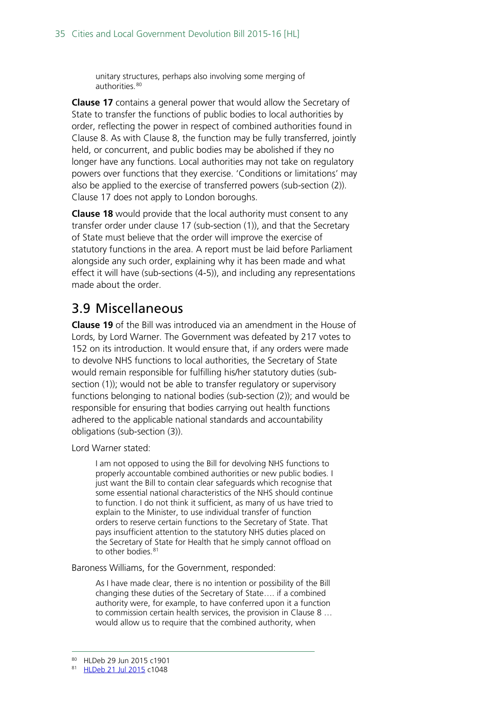unitary structures, perhaps also involving some merging of authorities.<sup>[80](#page-34-1)</sup>

**Clause 17** contains a general power that would allow the Secretary of State to transfer the functions of public bodies to local authorities by order, reflecting the power in respect of combined authorities found in Clause 8. As with Clause 8, the function may be fully transferred, jointly held, or concurrent, and public bodies may be abolished if they no longer have any functions. Local authorities may not take on regulatory powers over functions that they exercise. 'Conditions or limitations' may also be applied to the exercise of transferred powers (sub-section (2)). Clause 17 does not apply to London boroughs.

**Clause 18** would provide that the local authority must consent to any transfer order under clause 17 (sub-section (1)), and that the Secretary of State must believe that the order will improve the exercise of statutory functions in the area. A report must be laid before Parliament alongside any such order, explaining why it has been made and what effect it will have (sub-sections (4-5)), and including any representations made about the order.

## <span id="page-34-0"></span>3.9 Miscellaneous

**Clause 19** of the Bill was introduced via an amendment in the House of Lords, by Lord Warner. The Government was defeated by 217 votes to 152 on its introduction. It would ensure that, if any orders were made to devolve NHS functions to local authorities, the Secretary of State would remain responsible for fulfilling his/her statutory duties (subsection (1)); would not be able to transfer regulatory or supervisory functions belonging to national bodies (sub-section (2)); and would be responsible for ensuring that bodies carrying out health functions adhered to the applicable national standards and accountability obligations (sub-section (3)).

Lord Warner stated:

I am not opposed to using the Bill for devolving NHS functions to properly accountable combined authorities or new public bodies. I just want the Bill to contain clear safeguards which recognise that some essential national characteristics of the NHS should continue to function. I do not think it sufficient, as many of us have tried to explain to the Minister, to use individual transfer of function orders to reserve certain functions to the Secretary of State. That pays insufficient attention to the statutory NHS duties placed on the Secretary of State for Health that he simply cannot offload on to other bodies.<sup>[81](#page-34-2)</sup>

Baroness Williams, for the Government, responded:

As I have made clear, there is no intention or possibility of the Bill changing these duties of the Secretary of State…. if a combined authority were, for example, to have conferred upon it a function to commission certain health services, the provision in Clause 8 … would allow us to require that the combined authority, when

<span id="page-34-1"></span> <sup>80</sup> HLDeb 29 Jun 2015 c1901

<span id="page-34-2"></span><sup>81</sup> [HLDeb 21 Jul 2015](http://www.publications.parliament.uk/pa/ld201516/ldhansrd/text/150721-0002.htm) c1048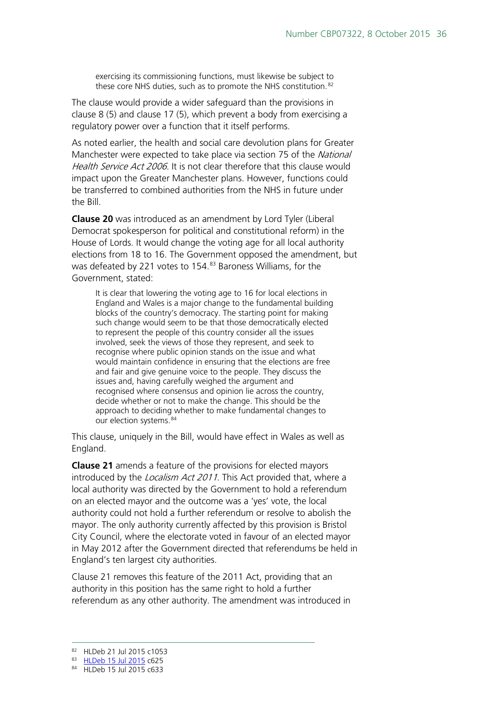exercising its commissioning functions, must likewise be subject to these core NHS duties, such as to promote the NHS constitution.<sup>[82](#page-35-0)</sup>

The clause would provide a wider safeguard than the provisions in clause 8 (5) and clause 17 (5), which prevent a body from exercising a regulatory power over a function that it itself performs.

As noted earlier, the health and social care devolution plans for Greater Manchester were expected to take place via section 75 of the National Health Service Act 2006. It is not clear therefore that this clause would impact upon the Greater Manchester plans. However, functions could be transferred to combined authorities from the NHS in future under the Bill.

**Clause 20** was introduced as an amendment by Lord Tyler (Liberal Democrat spokesperson for political and constitutional reform) in the House of Lords. It would change the voting age for all local authority elections from 18 to 16. The Government opposed the amendment, but was defeated by 221 votes to 154. [83](#page-35-1) Baroness Williams, for the Government, stated:

It is clear that lowering the voting age to 16 for local elections in England and Wales is a major change to the fundamental building blocks of the country's democracy. The starting point for making such change would seem to be that those democratically elected to represent the people of this country consider all the issues involved, seek the views of those they represent, and seek to recognise where public opinion stands on the issue and what would maintain confidence in ensuring that the elections are free and fair and give genuine voice to the people. They discuss the issues and, having carefully weighed the argument and recognised where consensus and opinion lie across the country, decide whether or not to make the change. This should be the approach to deciding whether to make fundamental changes to our election systems.<sup>[84](#page-35-2)</sup>

This clause, uniquely in the Bill, would have effect in Wales as well as England.

**Clause 21** amends a feature of the provisions for elected mayors introduced by the *Localism Act 2011*. This Act provided that, where a local authority was directed by the Government to hold a referendum on an elected mayor and the outcome was a 'yes' vote, the local authority could not hold a further referendum or resolve to abolish the mayor. The only authority currently affected by this provision is Bristol City Council, where the electorate voted in favour of an elected mayor in May 2012 after the Government directed that referendums be held in England's ten largest city authorities.

Clause 21 removes this feature of the 2011 Act, providing that an authority in this position has the same right to hold a further referendum as any other authority. The amendment was introduced in

<span id="page-35-0"></span> <sup>82</sup> HLDeb 21 Jul 2015 c1053

<span id="page-35-2"></span><span id="page-35-1"></span><sup>83</sup> [HLDeb 15 Jul 2015](http://www.publications.parliament.uk/pa/ld201516/ldhansrd/text/150715-0002.htm) c625

<sup>84</sup> HLDeb 15 Jul 2015 c633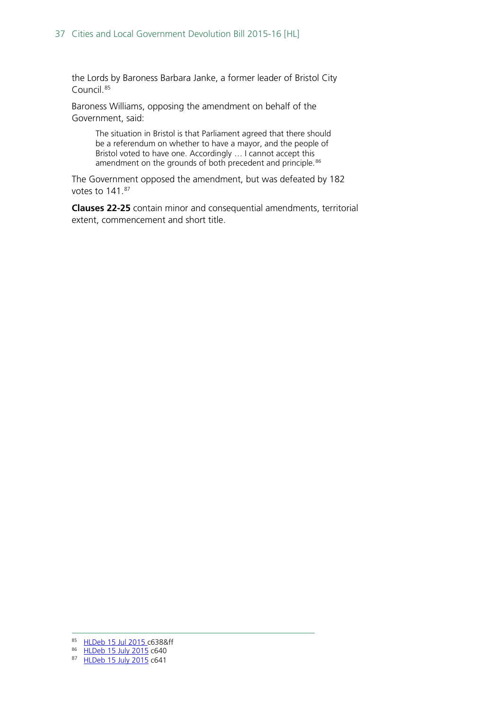the Lords by Baroness Barbara Janke, a former leader of Bristol City Council.[85](#page-36-0)

Baroness Williams, opposing the amendment on behalf of the Government, said:

The situation in Bristol is that Parliament agreed that there should be a referendum on whether to have a mayor, and the people of Bristol voted to have one. Accordingly … I cannot accept this amendment on the grounds of both precedent and principle.<sup>[86](#page-36-1)</sup>

The Government opposed the amendment, but was defeated by 182 votes to 141.[87](#page-36-2)

**Clauses 22-25** contain minor and consequential amendments, territorial extent, commencement and short title.

<span id="page-36-0"></span> <sup>85</sup> [HLDeb 15 Jul 2015 c](http://www.publications.parliament.uk/pa/ld201516/ldhansrd/text/150715-0002.htm)638&ff

<span id="page-36-1"></span><sup>86</sup> [HLDeb 15 July 2015](http://www.publications.parliament.uk/pa/ld201516/ldhansrd/text/150715-0002.htm) c640

<span id="page-36-2"></span><sup>87</sup> [HLDeb 15 July 2015](http://www.publications.parliament.uk/pa/ld201516/ldhansrd/text/150715-0002.htm) c641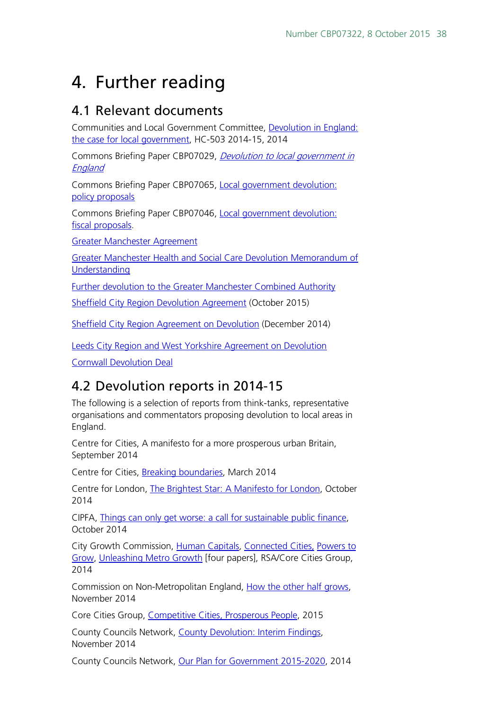# <span id="page-37-0"></span>4. Further reading

## <span id="page-37-1"></span>4.1 Relevant documents

Communities and Local Government Committee, [Devolution in England:](http://www.publications.parliament.uk/pa/cm201415/cmselect/cmcomloc/503/503.pdf)  [the case for local government,](http://www.publications.parliament.uk/pa/cm201415/cmselect/cmcomloc/503/503.pdf) HC-503 2014-15, 2014

Commons Briefing Paper CBP07029, [Devolution to local government in](http://researchbriefings.parliament.uk/ResearchBriefing/Summary/SN07029)  **[England](http://researchbriefings.parliament.uk/ResearchBriefing/Summary/SN07029)** 

Commons Briefing Paper CBP07065, [Local government devolution:](http://www.parliament.uk/business/publications/research/briefing-papers/SN07065/local-government-devolution-policy-proposals)  [policy proposals](http://www.parliament.uk/business/publications/research/briefing-papers/SN07065/local-government-devolution-policy-proposals)

Commons Briefing Paper CBP07046, [Local government devolution:](http://www.parliament.uk/business/publications/research/briefing-papers/SN07046/local-government-devolution-fiscal-proposals)  [fiscal proposals.](http://www.parliament.uk/business/publications/research/briefing-papers/SN07046/local-government-devolution-fiscal-proposals)

[Greater Manchester Agreement](https://www.gov.uk/government/publications/devolution-to-the-greater-manchester-combined-authority-and-transition-to-a-directly-elected-mayor)

[Greater Manchester Health and Social Care Devolution Memorandum of](http://www.agma.gov.uk/cms_media/files/mou.pdf)  [Understanding](http://www.agma.gov.uk/cms_media/files/mou.pdf)

[Further devolution to the Greater Manchester Combined Authority](https://www.gov.uk/government/uploads/system/uploads/attachment_data/file/443087/Greater_Manchester_Further_Devolution.pdf)

[Sheffield City Region Devolution Agreement](https://www.gov.uk/government/uploads/system/uploads/attachment_data/file/465340/Sheffield_devolution_deal_02102015.pdf) (October 2015)

[Sheffield City Region Agreement on Devolution](http://sheffieldcityregion.org.uk/wp-content/uploads/2014/12/SCR-Devolution-Deal.pdf) (December 2014)

[Leeds City Region and West Yorkshire Agreement on Devolution](https://depositedpapers.parliament.uk/depositedpaper/view/2275871) 

[Cornwall Devolution Deal](https://www.gov.uk/government/uploads/system/uploads/attachment_data/file/447419/20150715_Cornwall_Devolution_Deal_-_FINAL_-_reformatted.pdf)

## <span id="page-37-2"></span>4.2 Devolution reports in 2014-15

The following is a selection of reports from think-tanks, representative organisations and commentators proposing devolution to local areas in England.

Centre for Cities, A manifesto for a more prosperous urban Britain, September 2014

Centre for Cities, [Breaking boundaries,](http://www.centreforcities.org/publication/breaking-boundaries-empowering-city-growth-through-cross-border-collaboration/) March 2014

Centre for London, [The Brightest Star: A Manifesto for London,](http://centreforlondon.org/publication/brightest-star-manifesto-london/) October 2014

CIPFA, [Things can only get worse: a call for sustainable public finance,](http://www.cipfa.org/about-cipfa/manifesto2015) October 2014

City Growth Commission, [Human Capitals](http://www.citygrowthcommission.com/publication/human-capitals-driving-uk-metro-growth-through-workforce-investment/), [Connected Cities,](http://www.citygrowthcommission.com/publication/connected-cities-the-link-to-growth/) [Powers to](http://www.citygrowthcommission.com/publication/powers-to-grow-city-finance-and-governance/)  [Grow,](http://www.citygrowthcommission.com/publication/powers-to-grow-city-finance-and-governance/) [Unleashing Metro Growth](http://www.thersa.org/__data/assets/pdf_file/0009/1548090/Final-Report-Unleashing-Metro-Growth.pdf) [four papers], RSA/Core Cities Group, 2014

Commission on Non-Metropolitan England, [How the other half grows,](http://www.local.gov.uk/people-and-places-board/-/journal_content/56/10180/6718910/ARTICLE) November 2014

Core Cities Group, [Competitive Cities, Prosperous People,](http://www.corecities.com/what-we-do/publications/core-cities-growth-prospectus-competitive-cities-prosperous-people) 2015

County Councils Network, [County Devolution: Interim Findings,](http://www.countycouncilsnetwork.org.uk/library/) November 2014

County Councils Network, [Our Plan for Government 2015-2020,](http://www.countycouncilsnetwork.org.uk/library/july-2013/file79/) 2014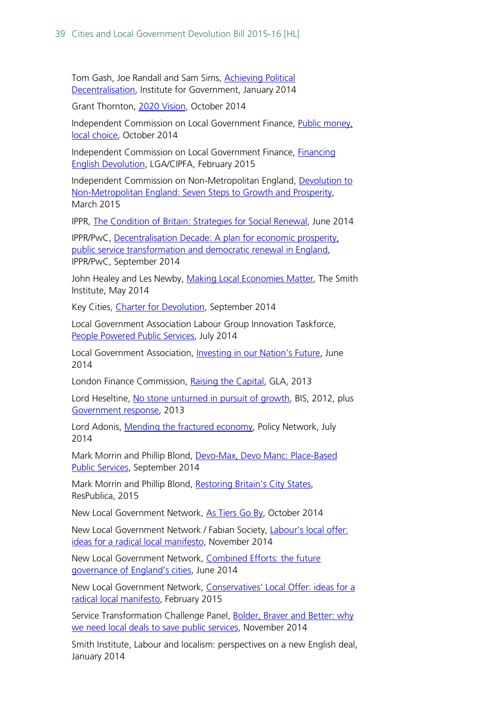Tom Gash, Joe Randall and Sam Sims, [Achieving Political](http://www.instituteforgovernment.org.uk/publications/achieving-political-decentralisation)  [Decentralisation](http://www.instituteforgovernment.org.uk/publications/achieving-political-decentralisation), Institute for Government, January 2014

Grant Thornton, [2020 Vision,](http://www.grant-thornton.co.uk/en/Publications/2014/2020-Vision-Exploring-finance-and-policy-futures-for-English-local-government-as-a-starting-point-for-discussion/) October 2014

Independent Commission on Local Government Finance, [Public money,](http://www.cipfa.org/iclgf-home/documents/interim-report)  [local choice,](http://www.cipfa.org/iclgf-home/documents/interim-report) October 2014

Independent Commission on Local Government Finance, Financing [English Devolution,](http://www.localfinancecommission.org/media-office/final-report) LGA/CIPFA, February 2015

Independent Commission on Non-Metropolitan England, [Devolution to](http://www.local.gov.uk/non-met-commission)  [Non-Metropolitan England: Seven Steps to Growth and Prosperity,](http://www.local.gov.uk/non-met-commission) March 2015

IPPR, [The Condition of Britain: Strategies for Social Renewal,](http://www.ippr.org/publications/the-condition-of-britain-strategies-for-social-renewal) June 2014

IPPR/PwC, [Decentralisation Decade: A plan for economic prosperity,](http://www.ippr.org/publications/decentralisation-decade)  [public service transformation and democratic renewal in England,](http://www.ippr.org/publications/decentralisation-decade) IPPR/PwC, September 2014

John Healey and Les Newby, [Making Local Economies Matter](http://www.smith-institute.org.uk/file/Making%20local%20economies%20matter.pdf), The Smith Institute, May 2014

Key Cities, [Charter for Devolution,](http://keycities.co.uk/Media/Default/PDFs/Charter%20for%20Devolution%20Key%20Cities.pdf) September 2014

Local Government Association Labour Group Innovation Taskforce, [People Powered Public Services,](http://lgalabour.local.gov.uk/documents/330956/6335671/INNOVATION+TASKFORCE+FINAL+REPORT.pdf) July 2014

Local Government Association, **Investing in our Nation's Future**, June 2014

London Finance Commission, [Raising the Capital,](https://www.london.gov.uk/priorities/business-economy/publications/raising-the-capital) GLA, 2013

Lord Heseltine, [No stone unturned in pursuit of growth](https://www.gov.uk/government/publications/no-stone-unturned-in-pursuit-of-growth), BIS, 2012, plus [Government response,](https://www.gov.uk/government/publications/governments-response-to-the-heseltine-review-into-economic-growth) 2013

Lord Adonis, [Mending the fractured economy,](http://www.policy-network.net/publications/4695/Mending-the-Fractured-Economy) Policy Network, July 2014

Mark Morrin and Phillip Blond, [Devo-Max, Devo Manc: Place-Based](http://www.respublica.org.uk/item/Devo-Max-Devo-Manc-Place-based-public-services)  [Public Services,](http://www.respublica.org.uk/item/Devo-Max-Devo-Manc-Place-based-public-services) September 2014

Mark Morrin and Phillip Blond, [Restoring Britain's City States,](http://www.respublica.org.uk/our-work/publications/restoring-britains-city-states-devolution-public-service-reform-local-economic-growth/) ResPublica, 2015

New Local Government Network, [As Tiers Go By,](http://www.nlgn.org.uk/public/2014/ministers-must-rule-out-council-reorganisation-to-drive-collaborative-revolution/) October 2014

New Local Government Network / Fabian Society, [Labour's local offer:](http://www.nlgn.org.uk/public/2014/labours-local-offer-ideas-for-a-radical-local-manifesto/)  [ideas for a radical local manifesto,](http://www.nlgn.org.uk/public/2014/labours-local-offer-ideas-for-a-radical-local-manifesto/) November 2014

New Local Government Network, [Combined Efforts: the future](http://www.nlgn.org.uk/public/2014/combined-efforts-the-future-governance-of-englands-cities/)  [governance of England's cities,](http://www.nlgn.org.uk/public/2014/combined-efforts-the-future-governance-of-englands-cities/) June 2014

New Local Government Network, [Conservatives' Local Offer: ideas for a](http://www.nlgn.org.uk/public/2015/conservatives-local-offer-ideas-for-a-radical-localist-manifesto/)  [radical local manifesto,](http://www.nlgn.org.uk/public/2015/conservatives-local-offer-ideas-for-a-radical-localist-manifesto/) February 2015

Service Transformation Challenge Panel, [Bolder, Braver and Better: why](http://publicservicetransformation.org/service-transformation-challenge-panel/the-report)  [we need local deals to save public services,](http://publicservicetransformation.org/service-transformation-challenge-panel/the-report) November 2014

Smith Institute, Labour and localism: perspectives on a new English deal, January 2014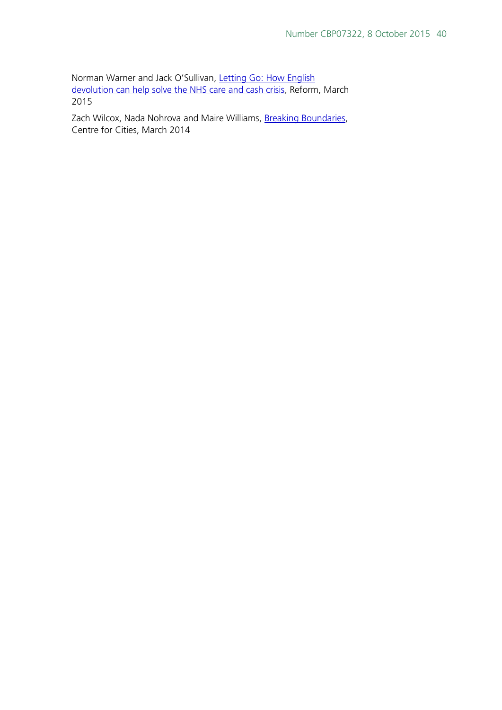Norman Warner and Jack O'Sullivan, [Letting Go: How English](http://www.reform.uk/publication/letting-go-how-english-devolution-can-help-solve-the-nhs-care-and-cash-crisis/)  [devolution can help solve the NHS care and cash crisis](http://www.reform.uk/publication/letting-go-how-english-devolution-can-help-solve-the-nhs-care-and-cash-crisis/), Reform, March 2015

Zach Wilcox, Nada Nohrova and Maire Williams, [Breaking Boundaries,](http://www.centreforcities.org/publication/breaking-boundaries-empowering-city-growth-through-cross-border-collaboration/) Centre for Cities, March 2014